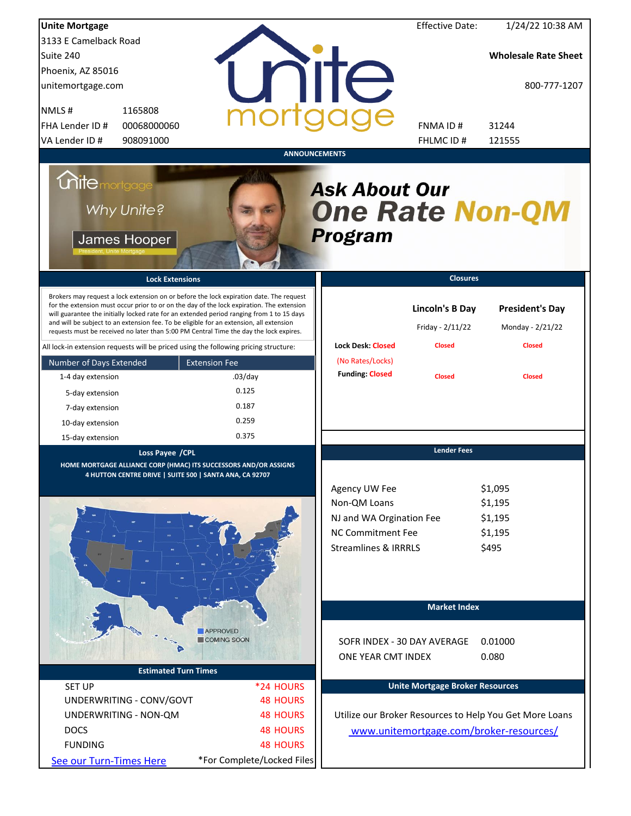| <b>Unite Mortgage</b>                                                                                                                                                                                                                                                                                                                                                                                                                                                                                                                                          |                                       |                                                                                                                   | <b>Effective Date:</b>                                      | 1/24/22 10:38 AM                                            |
|----------------------------------------------------------------------------------------------------------------------------------------------------------------------------------------------------------------------------------------------------------------------------------------------------------------------------------------------------------------------------------------------------------------------------------------------------------------------------------------------------------------------------------------------------------------|---------------------------------------|-------------------------------------------------------------------------------------------------------------------|-------------------------------------------------------------|-------------------------------------------------------------|
| 3133 E Camelback Road                                                                                                                                                                                                                                                                                                                                                                                                                                                                                                                                          |                                       |                                                                                                                   |                                                             |                                                             |
| Suite 240                                                                                                                                                                                                                                                                                                                                                                                                                                                                                                                                                      |                                       |                                                                                                                   |                                                             | <b>Wholesale Rate Sheet</b>                                 |
| Phoenix, AZ 85016                                                                                                                                                                                                                                                                                                                                                                                                                                                                                                                                              |                                       |                                                                                                                   |                                                             |                                                             |
| unitemortgage.com                                                                                                                                                                                                                                                                                                                                                                                                                                                                                                                                              |                                       | <b>TITE</b>                                                                                                       |                                                             | 800-777-1207                                                |
| NMLS#<br>1165808                                                                                                                                                                                                                                                                                                                                                                                                                                                                                                                                               |                                       |                                                                                                                   |                                                             |                                                             |
| FHA Lender ID#<br>00068000060                                                                                                                                                                                                                                                                                                                                                                                                                                                                                                                                  |                                       |                                                                                                                   | FNMA ID#                                                    | 31244                                                       |
| VA Lender ID #<br>908091000                                                                                                                                                                                                                                                                                                                                                                                                                                                                                                                                    |                                       |                                                                                                                   | FHLMC ID #                                                  | 121555                                                      |
|                                                                                                                                                                                                                                                                                                                                                                                                                                                                                                                                                                |                                       | <b>ANNOUNCEMENTS</b>                                                                                              |                                                             |                                                             |
| <i><b>Unitemortgage</b></i><br>Why Unite?<br>James Hooper                                                                                                                                                                                                                                                                                                                                                                                                                                                                                                      |                                       | <b>Ask About Our</b><br><b>One Rate Non-QM</b><br><b>Program</b>                                                  |                                                             |                                                             |
| <b>Lock Extensions</b>                                                                                                                                                                                                                                                                                                                                                                                                                                                                                                                                         |                                       |                                                                                                                   | <b>Closures</b>                                             |                                                             |
| Brokers may request a lock extension on or before the lock expiration date. The request<br>for the extension must occur prior to or on the day of the lock expiration. The extension<br>will guarantee the initially locked rate for an extended period ranging from 1 to 15 days<br>and will be subject to an extension fee. To be eligible for an extension, all extension<br>requests must be received no later than 5:00 PM Central Time the day the lock expires.<br>All lock-in extension requests will be priced using the following pricing structure: |                                       | <b>Lock Desk: Closed</b>                                                                                          | <b>Lincoln's B Day</b><br>Friday - 2/11/22<br><b>Closed</b> | <b>President's Day</b><br>Monday - 2/21/22<br><b>Closed</b> |
| Number of Days Extended                                                                                                                                                                                                                                                                                                                                                                                                                                                                                                                                        | <b>Extension Fee</b>                  | (No Rates/Locks)                                                                                                  |                                                             |                                                             |
| 1-4 day extension                                                                                                                                                                                                                                                                                                                                                                                                                                                                                                                                              | $.03$ /day                            | <b>Funding: Closed</b>                                                                                            | <b>Closed</b>                                               | <b>Closed</b>                                               |
| 5-day extension                                                                                                                                                                                                                                                                                                                                                                                                                                                                                                                                                | 0.125                                 |                                                                                                                   |                                                             |                                                             |
| 7-day extension                                                                                                                                                                                                                                                                                                                                                                                                                                                                                                                                                | 0.187                                 |                                                                                                                   |                                                             |                                                             |
| 10-day extension                                                                                                                                                                                                                                                                                                                                                                                                                                                                                                                                               | 0.259                                 |                                                                                                                   |                                                             |                                                             |
| 15-day extension                                                                                                                                                                                                                                                                                                                                                                                                                                                                                                                                               | 0.375                                 |                                                                                                                   |                                                             |                                                             |
| Loss Payee /CPL                                                                                                                                                                                                                                                                                                                                                                                                                                                                                                                                                |                                       |                                                                                                                   | <b>Lender Fees</b>                                          |                                                             |
| HOME MORTGAGE ALLIANCE CORP (HMAC) ITS SUCCESSORS AND/OR ASSIGNS<br>4 HUTTON CENTRE DRIVE   SUITE 500   SANTA ANA, CA 92707                                                                                                                                                                                                                                                                                                                                                                                                                                    |                                       | Agency UW Fee<br>Non-QM Loans<br>NJ and WA Orgination Fee<br>NC Commitment Fee<br><b>Streamlines &amp; IRRRLS</b> |                                                             | \$1,095<br>\$1,195<br>\$1,195<br>\$1,195<br>\$495           |
|                                                                                                                                                                                                                                                                                                                                                                                                                                                                                                                                                                |                                       |                                                                                                                   | <b>Market Index</b>                                         |                                                             |
|                                                                                                                                                                                                                                                                                                                                                                                                                                                                                                                                                                |                                       |                                                                                                                   |                                                             |                                                             |
|                                                                                                                                                                                                                                                                                                                                                                                                                                                                                                                                                                | <b>APPROVED</b><br><b>COMING SOON</b> | SOFR INDEX - 30 DAY AVERAGE<br>ONE YEAR CMT INDEX                                                                 |                                                             | 0.01000<br>0.080                                            |
| <b>Estimated Turn Times</b>                                                                                                                                                                                                                                                                                                                                                                                                                                                                                                                                    |                                       |                                                                                                                   |                                                             |                                                             |
| <b>SET UP</b>                                                                                                                                                                                                                                                                                                                                                                                                                                                                                                                                                  | *24 HOURS                             |                                                                                                                   | <b>Unite Mortgage Broker Resources</b>                      |                                                             |
| UNDERWRITING - CONV/GOVT                                                                                                                                                                                                                                                                                                                                                                                                                                                                                                                                       | <b>48 HOURS</b>                       |                                                                                                                   |                                                             |                                                             |
| UNDERWRITING - NON-QM                                                                                                                                                                                                                                                                                                                                                                                                                                                                                                                                          | <b>48 HOURS</b>                       |                                                                                                                   |                                                             | Utilize our Broker Resources to Help You Get More Loans     |
| <b>DOCS</b>                                                                                                                                                                                                                                                                                                                                                                                                                                                                                                                                                    | <b>48 HOURS</b>                       |                                                                                                                   |                                                             | www.unitemortgage.com/broker-resources/                     |
| <b>FUNDING</b>                                                                                                                                                                                                                                                                                                                                                                                                                                                                                                                                                 | <b>48 HOURS</b>                       |                                                                                                                   |                                                             |                                                             |
| See our Turn-Times Here                                                                                                                                                                                                                                                                                                                                                                                                                                                                                                                                        | *For Complete/Locked Files            |                                                                                                                   |                                                             |                                                             |
|                                                                                                                                                                                                                                                                                                                                                                                                                                                                                                                                                                |                                       |                                                                                                                   |                                                             |                                                             |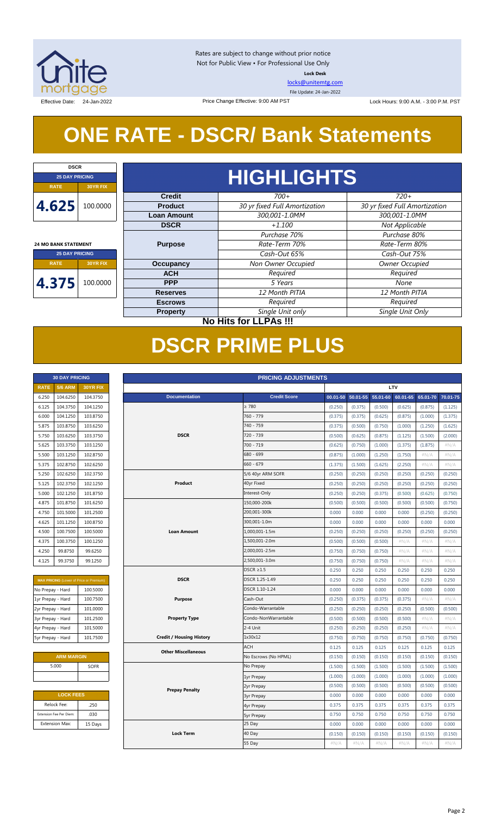

Rates are subject to change without prior notice Not for Public View • For Professional Use Only **Lock Desk**

[locks@unitemtg.com](mailto:locks@unitemtg.com)

File Update: 24-Jan-2022

Effective Date: 24-Jan-2022 Price Change Effective: 9:00 AM PST Lock Hours: 9:00 A.M. - 3:00 P.M. PST

# **ONE RATE - DSCR/ Bank Statements**

Price Change Effective: 9:00 AM PST

| <b>DSCR</b>                                          |          |  |  |  |
|------------------------------------------------------|----------|--|--|--|
| <b>25 DAY PRICING</b>                                |          |  |  |  |
| <b>RATE</b>                                          | 30YR FIX |  |  |  |
| 4.625                                                | 100.0000 |  |  |  |
|                                                      |          |  |  |  |
| <b>24 MO BANK STATEMENT</b><br><b>25 DAY PRICING</b> |          |  |  |  |
| <b>RATE</b><br>30YR FIX                              |          |  |  |  |
|                                                      |          |  |  |  |

| <b>HIGHLIGHTS</b>   |                               |                      |  |  |
|---------------------|-------------------------------|----------------------|--|--|
| <b>Credit</b>       | $700+$                        | $720+$               |  |  |
| roduct <sup>'</sup> | 30 yr fixed Full Amortization | 30 yr fixed Full A   |  |  |
| n Amount            | 300,001-1.0MM                 | $300,001 - 1.$       |  |  |
| <b>DSCR</b>         | $+1.100$                      | Not Applic           |  |  |
|                     | Purchase 70%                  | Purchase             |  |  |
| urpose              | Rate-Term 70%                 | Rate-Term            |  |  |
|                     |                               | $\sim$ $\sim$ $\sim$ |  |  |

# **4.375** 100.0000

| <b>Credit</b>      | $700+$                        | $720+$                        |
|--------------------|-------------------------------|-------------------------------|
| <b>Product</b>     | 30 yr fixed Full Amortization | 30 yr fixed Full Amortization |
| <b>Loan Amount</b> | 300,001-1.0MM                 | 300,001-1.0MM                 |
| <b>DSCR</b>        | $+1.100$                      | Not Applicable                |
|                    | Purchase 70%                  | Purchase 80%                  |
| <b>Purpose</b>     | Rate-Term 70%                 | Rate-Term 80%                 |
|                    | Cash-Out 65%                  | Cash-Out 75%                  |
| Occupancy          | Non Owner Occupied            | Owner Occupied                |
| <b>ACH</b>         | Required                      | Required                      |
| <b>PPP</b>         | 5 Years                       | None                          |
| <b>Reserves</b>    | 12 Month PITIA                | 12 Month PITIA                |
| <b>Escrows</b>     | Required                      | Required                      |
| <b>Property</b>    | Single Unit only              | Single Unit Only              |
| . .                | .                             |                               |

#### **No Hits for LLPAs !!!**

# **DSCR PRIME PLUS**

|                   | <b>30 DAY PRICING</b>   |                                                | <b>PRICING ADJUSTMENTS</b>      |                      |          |          |          |          |          |          |
|-------------------|-------------------------|------------------------------------------------|---------------------------------|----------------------|----------|----------|----------|----------|----------|----------|
| <b>RATE</b>       | <b>5/6 ARM</b>          | 30YR FIX                                       | LTV                             |                      |          |          |          |          |          |          |
| 6.250             | 104.6250                | 104.3750                                       | <b>Documentation</b>            | <b>Credit Score</b>  | 00.01-50 | 50.01-55 | 55.01-60 | 60.01-65 | 65.01-70 | 70.01-75 |
| 6.125             | 104.3750                | 104.1250                                       |                                 | $\geq 780$           | (0.250)  | (0.375)  | (0.500)  | (0.625)  | (0.875)  | (1.125)  |
| 6.000             | 104.1250                | 103.8750                                       |                                 | $760 - 779$          | (0.375)  | (0.375)  | (0.625)  | (0.875)  | (1.000)  | (1.375)  |
| 5.875             | 103.8750                | 103.6250                                       |                                 | 740 - 759            | (0.375)  | (0.500)  | (0.750)  | (1.000)  | (1.250)  | (1.625)  |
| 5.750             | 103.6250                | 103.3750                                       | <b>DSCR</b>                     | 720 - 739            | (0.500)  | (0.625)  | (0.875)  | (1.125)  | (1.500)  | (2.000)  |
| 5.625             | 103.3750                | 103.1250                                       |                                 | $700 - 719$          | (0.625)  | (0.750)  | (1.000)  | (1.375)  | (1.875)  | $\#N/A$  |
| 5.500             | 103.1250                | 102.8750                                       |                                 | 680 - 699            | (0.875)  | (1.000)  | (1.250)  | (1.750)  | #N/A     | #N/A     |
| 5.375             | 102.8750                | 102.6250                                       |                                 | $660 - 679$          | (1.375)  | (1.500)  | (1.625)  | (2.250)  | #N/A     | #N/A     |
| 5.250             | 102.6250                | 102.3750                                       |                                 | 5/6 40yr ARM SOFR    | (0.250)  | (0.250)  | (0.250)  | (0.250)  | (0.250)  | (0.250)  |
| 5.125             | 102.3750                | 102.1250                                       | Product                         | 40yr Fixed           | (0.250)  | (0.250)  | (0.250)  | (0.250)  | (0.250)  | (0.250)  |
| 5.000             | 102.1250                | 101.8750                                       |                                 | Interest-Only        | (0.250)  | (0.250)  | (0.375)  | (0.500)  | (0.625)  | (0.750)  |
| 4.875             | 101.8750                | 101.6250                                       |                                 | 150,000-200k         | (0.500)  | (0.500)  | (0.500)  | (0.500)  | (0.500)  | (0.750)  |
| 4.750             | 101.5000                | 101.2500                                       |                                 | 200,001-300k         | 0.000    | 0.000    | 0.000    | 0.000    | (0.250)  | (0.250)  |
| 4.625             | 101.1250                | 100.8750                                       |                                 | 300,001-1.0m         | 0.000    | 0.000    | 0.000    | 0.000    | 0.000    | 0.000    |
| 4.500             | 100.7500                | 100.5000                                       | <b>Loan Amount</b>              | 1,000,001-1.5m       | (0.250)  | (0.250)  | (0.250)  | (0.250)  | (0.250)  | (0.250)  |
| 4.375             | 100.3750                | 100.1250                                       |                                 | 1,500,001-2.0m       | (0.500)  | (0.500)  | (0.500)  | #N/A     | #N/A     | $\#N/A$  |
| 4.250             | 99.8750                 | 99.6250                                        |                                 | 2,000,001-2.5m       | (0.750)  | (0.750)  | (0.750)  | #N/A     | #N/A     | #N/A     |
| 4.125             | 99.3750                 | 99.1250                                        |                                 | 2,500,001-3.0m       | (0.750)  | (0.750)  | (0.750)  | #N/A     | #N/A     | #N/A     |
|                   |                         |                                                |                                 | $DSCR \geq 1.5$      | 0.250    | 0.250    | 0.250    | 0.250    | 0.250    | 0.250    |
|                   |                         | <b>MAX PRICING</b> (Lower of Price or Premium) | <b>DSCR</b>                     | DSCR 1.25-1.49       | 0.250    | 0.250    | 0.250    | 0.250    | 0.250    | 0.250    |
| No Prepay - Hard  |                         | 100.5000                                       |                                 | DSCR 1.10-1.24       | 0.000    | 0.000    | 0.000    | 0.000    | 0.000    | 0.000    |
| 1yr Prepay - Hard |                         | 100.7500                                       | <b>Purpose</b>                  | Cash-Out             | (0.250)  | (0.375)  | (0.375)  | (0.375)  | #N/A     | #N/A     |
| 2yr Prepay - Hard |                         | 101.0000                                       |                                 | Condo-Warrantable    | (0.250)  | (0.250)  | (0.250)  | (0.250)  | (0.500)  | (0.500)  |
| 3yr Prepay - Hard |                         | 101.2500                                       | <b>Property Type</b>            | Condo-NonWarrantable | (0.500)  | (0.500)  | (0.500)  | (0.500)  | #N/A     | #N/A     |
| 4yr Prepay - Hard |                         | 101.5000                                       |                                 | 2-4 Unit             | (0.250)  | (0.250)  | (0.250)  | (0.250)  | #N/A     | #N/A     |
| 5yr Prepay - Hard |                         | 101.7500                                       | <b>Credit / Housing History</b> | 1x30x12              | (0.750)  | (0.750)  | (0.750)  | (0.750)  | (0.750)  | (0.750)  |
|                   |                         |                                                | <b>Other Miscellaneous</b>      | <b>ACH</b>           | 0.125    | 0.125    | 0.125    | 0.125    | 0.125    | 0.125    |
|                   | <b>ARM MARGIN</b>       |                                                |                                 | No Escrows (No HPML) | (0.150)  | (0.150)  | (0.150)  | (0.150)  | (0.150)  | (0.150)  |
|                   | 5.000                   | SOFR                                           |                                 | No Prepay            | (1.500)  | (1.500)  | (1.500)  | (1.500)  | (1.500)  | (1.500)  |
|                   |                         |                                                |                                 | 1yr Prepay           | (1.000)  | (1.000)  | (1.000)  | (1.000)  | (1.000)  | (1.000)  |
|                   |                         |                                                | <b>Prepay Penalty</b>           | 2yr Prepay           | (0.500)  | (0.500)  | (0.500)  | (0.500)  | (0.500)  | (0.500)  |
|                   | <b>LOCK FEES</b>        |                                                |                                 | <b>3yr Prepay</b>    | 0.000    | 0.000    | 0.000    | 0.000    | 0.000    | 0.000    |
|                   | Relock Fee:             | .250                                           |                                 | 4yr Prepay           | 0.375    | 0.375    | 0.375    | 0.375    | 0.375    | 0.375    |
|                   | Extension Fee Per Diem: | .030                                           |                                 | <b>5yr Prepay</b>    | 0.750    | 0.750    | 0.750    | 0.750    | 0.750    | 0.750    |
|                   | <b>Extension Max:</b>   | 15 Days                                        |                                 | 25 Day               | 0.000    | 0.000    | 0.000    | 0.000    | 0.000    | 0.000    |
|                   |                         |                                                | <b>Lock Term</b>                | 40 Day               | (0.150)  | (0.150)  | (0.150)  | (0.150)  | (0.150)  | (0.150)  |
|                   |                         |                                                |                                 | 55 Day               | $\#N/A$  | $\#N/A$  | $\#N/A$  | $\#N/A$  | $\#N/A$  | $\#N/A$  |

| 6.250 | 104.6250 | 104.3750 |
|-------|----------|----------|
| 6.125 | 104.3750 | 104.1250 |
| 6.000 | 104.1250 | 103.8750 |
| 5.875 | 103.8750 | 103.6250 |
| 5.750 | 103.6250 | 103.3750 |
| 5.625 | 103.3750 | 103.1250 |
| 5.500 | 103.1250 | 102.8750 |
| 5.375 | 102.8750 | 102.6250 |
| 5.250 | 102.6250 | 102.3750 |
| 5.125 | 1023750  | 102.1250 |
| 5.000 | 102.1250 | 101.8750 |
| 4.875 | 101.8750 | 101.6250 |
| 4.750 | 101.5000 | 101.2500 |
| 4.625 | 101.1250 | 100.8750 |
| 4.500 | 100.7500 | 100.5000 |
| 4.375 | 100.3750 | 100.1250 |
| 4.250 | 99.8750  | 99.6250  |
|       |          |          |

**30 DAY PRICING PRICING ADJUSTMENTS**

| <b>MAX PRICING</b> (Lower of Price or Premium) |          |  |  |
|------------------------------------------------|----------|--|--|
| No Prepay - Hard                               | 100.5000 |  |  |
| 1yr Prepay - Hard                              | 100.7500 |  |  |
| 2yr Prepay - Hard                              | 101.0000 |  |  |
| 3yr Prepay - Hard                              | 101.2500 |  |  |
| 4yr Prepay - Hard                              | 101.5000 |  |  |
| 5yr Prepay - Hard                              | 101.7500 |  |  |

| <b>ARM MARGIN</b> |             |
|-------------------|-------------|
| 5.000             | <b>SOFR</b> |
|                   |             |

| <b>LOCK FEES</b>        |         |  |  |
|-------------------------|---------|--|--|
| Relock Fee:             | .250    |  |  |
| Extension Fee Per Diem: | .030    |  |  |
| <b>Extension Max:</b>   | 15 Days |  |  |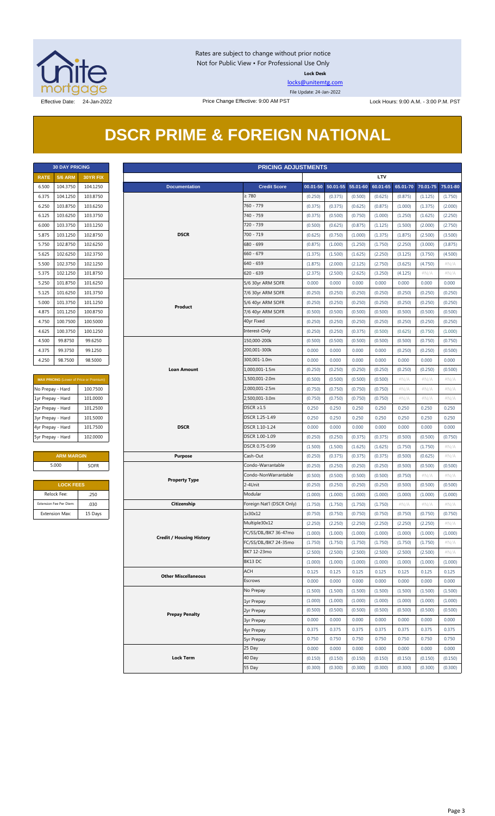

Rates are subject to change without prior notice Not for Public View • For Professional Use Only **Lock Desk**

[locks@unitemtg.com](mailto:locks@unitemtg.com)

File Update: 24-Jan-2022

## **DSCR PRIME & FOREIGN NATIONAL**

| <b>30 DAY PRICING</b> |                |                 |  |  |  |
|-----------------------|----------------|-----------------|--|--|--|
| <b>RATE</b>           | <b>5/6 ARM</b> | <b>30YR FIX</b> |  |  |  |
| 6.500                 | 104.3750       | 104.1250        |  |  |  |
| 6.375                 | 104.1250       | 103.8750        |  |  |  |
| 6.250                 | 103.8750       | 103.6250        |  |  |  |
| 6.125                 | 103.6250       | 103.3750        |  |  |  |
| 6.000                 | 103.3750       | 103.1250        |  |  |  |
| 5.875                 | 103.1250       | 102.8750        |  |  |  |
| 5.750                 | 102.8750       | 102.6250        |  |  |  |
| 5.625                 | 102.6250       | 102.3750        |  |  |  |
| 5.500                 | 102.3750       | 102.1250        |  |  |  |
| 5.375                 | 102.1250       | 101.8750        |  |  |  |
| 5.250                 | 101.8750       | 101.6250        |  |  |  |
| 5.125                 | 101.6250       | 101.3750        |  |  |  |
| 5.000                 | 101.3750       | 101.1250        |  |  |  |
| 4.875                 | 101.1250       | 100.8750        |  |  |  |
| 4.750                 | 100.7500       | 100.5000        |  |  |  |
| 4.625                 | 100.3750       | 100.1250        |  |  |  |
| 4.500                 | 99.8750        | 99.6250         |  |  |  |
| 4.375                 | 99.3750        | 99.1250         |  |  |  |
| 4.250                 | 98.7500        | 98.5000         |  |  |  |

| <b>MAX PRICING</b> (Lower of Price or Premium) |          |  |  |
|------------------------------------------------|----------|--|--|
| No Prepay - Hard                               | 100.7500 |  |  |
| 1yr Prepay - Hard                              | 101.0000 |  |  |
| 2yr Prepay - Hard                              | 101.2500 |  |  |
| 3yr Prepay - Hard                              | 101.5000 |  |  |
| 4yr Prepay - Hard                              | 101.7500 |  |  |
| 5yr Prepay - Hard                              | 102,0000 |  |  |

| <b>ARM MARGIN</b> |             |  |  |
|-------------------|-------------|--|--|
| 5.000             | <b>SOFR</b> |  |  |

| <b>LOCK FEES</b>        |         |  |  |  |  |  |  |  |  |  |
|-------------------------|---------|--|--|--|--|--|--|--|--|--|
| Relock Fee:             | .250    |  |  |  |  |  |  |  |  |  |
| Extension Fee Per Diem: | .030    |  |  |  |  |  |  |  |  |  |
| <b>Extension Max:</b>   | 15 Days |  |  |  |  |  |  |  |  |  |

|                              | <b>30 DAY PRICING</b>   |                                         |                                 | <b>PRICING ADJUSTMENTS</b>    |         |                   |          |            |          |          |          |
|------------------------------|-------------------------|-----------------------------------------|---------------------------------|-------------------------------|---------|-------------------|----------|------------|----------|----------|----------|
| <b>RATE</b>                  | <b>5/6 ARM</b>          | 30YR FIX                                |                                 |                               |         |                   |          | <b>LTV</b> |          |          |          |
| 6.500                        | 104.3750                | 104.1250                                | <b>Documentation</b>            | <b>Credit Score</b>           |         | 00.01-50 50.01-55 | 55.01-60 | 60.01-65   | 65.01-70 | 70.01-75 | 75.01-80 |
| 6.375                        | 104.1250                | 103.8750                                |                                 | $\geq 780$                    | (0.250) | (0.375)           | (0.500)  | (0.625)    | (0.875)  | (1.125)  | (1.750)  |
| 6.250                        | 103.8750                | 103.6250                                |                                 | 760 - 779                     | (0.375) | (0.375)           | (0.625)  | (0.875)    | (1.000)  | (1.375)  | (2.000)  |
| 6.125                        | 103.6250                | 103.3750                                |                                 | 740 - 759                     | (0.375) | (0.500)           | (0.750)  | (1.000)    | (1.250)  | (1.625)  | (2.250)  |
| 6.000                        | 103.3750                | 103.1250                                |                                 | 720 - 739                     | (0.500) | (0.625)           | (0.875)  | (1.125)    | (1.500)  | (2.000)  | (2.750)  |
| 5.875                        | 103.1250                | 102.8750                                | <b>DSCR</b>                     | $700 - 719$                   | (0.625) | (0.750)           | (1.000)  | (1.375)    | (1.875)  | (2.500)  | (3.500)  |
| 5.750                        | 102.8750                | 102.6250                                |                                 | 680 - 699                     | (0.875) | (1.000)           | (1.250)  | (1.750)    | (2.250)  | (3.000)  | (3.875)  |
| 5.625                        | 102.6250                | 102.3750                                |                                 | $660 - 679$                   | (1.375) | (1.500)           | (1.625)  | (2.250)    | (3.125)  | (3.750)  | (4.500)  |
| 5.500                        | 102.3750                | 102.1250                                |                                 | $640 - 659$                   | (1.875) | (2.000)           | (2.125)  | (2.750)    | (3.625)  | (4.750)  | $\#N/A$  |
| 5.375                        | 102.1250                | 101.8750                                |                                 | $620 - 639$                   | (2.375) | (2.500)           | (2.625)  | (3.250)    | (4.125)  | #N/A     | $\#N/A$  |
| 5.250                        | 101.8750                | 101.6250                                |                                 | 5/6 30yr ARM SOFR             | 0.000   | 0.000             | 0.000    | 0.000      | 0.000    | 0.000    | 0.000    |
| 5.125                        | 101.6250                | 101.3750                                |                                 | 7/6 30yr ARM SOFR             | (0.250) | (0.250)           | (0.250)  | (0.250)    | (0.250)  | (0.250)  | (0.250)  |
|                              | 101.3750                | 101.1250                                |                                 |                               | (0.250) |                   | (0.250)  | (0.250)    | (0.250)  |          | (0.250)  |
| 5.000                        |                         | 100.8750                                | Product                         | 5/6 40yr ARM SOFR             |         | (0.250)           |          |            |          | (0.250)  |          |
| 4.875                        | 101.1250                |                                         |                                 | 7/6 40yr ARM SOFR             | (0.500) | (0.500)           | (0.500)  | (0.500)    | (0.500)  | (0.500)  | (0.500)  |
| 4.750                        | 100.7500                | 100.5000                                |                                 | 40yr Fixed                    | (0.250) | (0.250)           | (0.250)  | (0.250)    | (0.250)  | (0.250)  | (0.250)  |
| 4.625                        | 100.3750                | 100.1250                                |                                 | Interest-Only<br>150,000-200k | (0.250) | (0.250)           | (0.375)  | (0.500)    | (0.625)  | (0.750)  | (1.000)  |
| 4.500                        | 99.8750                 | 99.6250                                 |                                 |                               | (0.500) | (0.500)           | (0.500)  | (0.500)    | (0.500)  | (0.750)  | (0.750)  |
| 4.375                        | 99.3750                 | 99.1250                                 |                                 | 200,001-300k                  | 0.000   | 0.000             | 0.000    | 0.000      | (0.250)  | (0.250)  | (0.500)  |
| 4.250                        | 98.7500                 | 98.5000                                 |                                 | 300,001-1.0m                  | 0.000   | 0.000             | 0.000    | 0.000      | 0.000    | 0.000    | 0.000    |
|                              |                         |                                         | <b>Loan Amount</b>              | 1,000,001-1.5m                | (0.250) | (0.250)           | (0.250)  | (0.250)    | (0.250)  | (0.250)  | (0.500)  |
|                              |                         | MAX PRICING (Lower of Price or Premium) |                                 | 1,500,001-2.0m                | (0.500) | (0.500)           | (0.500)  | (0.500)    | $\#N/A$  | $\#N/A$  | $\#N/A$  |
| 100.7500<br>No Prepay - Hard |                         |                                         |                                 | 2,000,001-2.5m                | (0.750) | (0.750)           | (0.750)  | (0.750)    | $\#N/A$  | $\#N/A$  | # $N/A$  |
| 1yr Prepay - Hard            |                         | 101.0000                                |                                 | 2,500,001-3.0m                | (0.750) | (0.750)           | (0.750)  | (0.750)    | $\#N/A$  | $\#N/A$  | $\#N/A$  |
| 2yr Prepay - Hard            |                         | 101.2500                                |                                 | $DSCR \geq 1.5$               | 0.250   | 0.250             | 0.250    | 0.250      | 0.250    | 0.250    | 0.250    |
| 3yr Prepay - Hard            |                         | 101.5000                                |                                 | DSCR 1.25-1.49                | 0.250   | 0.250             | 0.250    | 0.250      | 0.250    | 0.250    | 0.250    |
| 4yr Prepay - Hard            |                         | 101.7500                                | <b>DSCR</b>                     | DSCR 1.10-1.24                | 0.000   | 0.000             | 0.000    | 0.000      | 0.000    | 0.000    | 0.000    |
| 5yr Prepay - Hard            |                         | 102.0000                                |                                 | DSCR 1.00-1.09                | (0.250) | (0.250)           | (0.375)  | (0.375)    | (0.500)  | (0.500)  | (0.750)  |
|                              |                         |                                         |                                 | DSCR 0.75-0.99                | (1.500) | (1.500)           | (1.625)  | (1.625)    | (1.750)  | (1.750)  | $\#N/A$  |
|                              | <b>ARM MARGIN</b>       |                                         | <b>Purpose</b>                  | Cash-Out                      | (0.250) | (0.375)           | (0.375)  | (0.375)    | (0.500)  | (0.625)  | $\#N/A$  |
|                              | 5.000                   | SOFR                                    |                                 | Condo-Warrantable             | (0.250) | (0.250)           | (0.250)  | (0.250)    | (0.500)  | (0.500)  | (0.500)  |
|                              |                         |                                         | <b>Property Type</b>            | Condo-NonWarrantable          | (0.500) | (0.500)           | (0.500)  | (0.500)    | (0.750)  | $\#N/A$  | #N/A     |
|                              | <b>LOCK FEES</b>        |                                         |                                 | 2-4Unit                       | (0.250) | (0.250)           | (0.250)  | (0.250)    | (0.500)  | (0.500)  | (0.500)  |
|                              | Relock Fee:             | .250                                    |                                 | Modular                       | (1.000) | (1.000)           | (1.000)  | (1.000)    | (1.000)  | (1.000)  | (1.000)  |
|                              | Extension Fee Per Diem: | .030                                    | Citizenship                     | Foreign Nat'l (DSCR Only)     | (1.750) | (1.750)           | (1.750)  | (1.750)    | $\#N/A$  | $\#N/A$  | $\#N/A$  |
|                              | <b>Extension Max:</b>   | 15 Days                                 |                                 | 1x30x12                       | (0.750) | (0.750)           | (0.750)  | (0.750)    | (0.750)  | (0.750)  | (0.750)  |
|                              |                         |                                         |                                 | Multiple30x12                 | (2.250) | (2.250)           | (2.250)  | (2.250)    | (2.250)  | (2.250)  | $\#N/A$  |
|                              |                         |                                         | <b>Credit / Housing History</b> | FC/SS/DIL/BK7 36-47mo         | (1.000) | (1.000)           | (1.000)  | (1.000)    | (1.000)  | (1.000)  | (1.000)  |
|                              |                         |                                         |                                 | FC/SS/DIL/BK7 24-35mo         | (1.750) | (1.750)           | (1.750)  | (1.750)    | (1.750)  | (1.750)  | #N/A     |
|                              |                         |                                         |                                 | BK7 12-23mo                   | (2.500) | (2.500)           | (2.500)  | (2.500)    | (2.500)  | (2.500)  | $\#N/A$  |
|                              |                         |                                         |                                 | BK13 DC                       | (1.000) | (1.000)           | (1.000)  | (1.000)    | (1.000)  | (1.000)  | (1.000)  |
|                              |                         |                                         | <b>Other Miscellaneous</b>      | ACH                           | 0.125   | 0.125             | 0.125    | 0.125      | 0.125    | 0.125    | 0.125    |
|                              |                         |                                         |                                 | Escrows                       | 0.000   | 0.000             | 0.000    | 0.000      | 0.000    | 0.000    | 0.000    |
|                              |                         |                                         |                                 | No Prepay                     | (1.500) | (1.500)           | (1.500)  | (1.500)    | (1.500)  | (1.500)  | (1.500)  |
|                              |                         |                                         |                                 | 1yr Prepay                    | (1.000) | (1.000)           | (1.000)  | (1.000)    | (1.000)  | (1.000)  | (1.000)  |
|                              |                         |                                         |                                 | 2yr Prepay                    | (0.500) | (0.500)           | (0.500)  | (0.500)    | (0.500)  | (0.500)  | (0.500)  |
|                              |                         |                                         | <b>Prepay Penalty</b>           | <b>3yr Prepay</b>             | 0.000   | 0.000             | 0.000    | 0.000      | 0.000    | 0.000    | 0.000    |
|                              |                         |                                         |                                 | 4yr Prepay                    | 0.375   | 0.375             | 0.375    | 0.375      | 0.375    | 0.375    | 0.375    |
|                              |                         |                                         |                                 | <b>5yr Prepay</b>             | 0.750   | 0.750             | 0.750    | 0.750      | 0.750    | 0.750    | 0.750    |
|                              |                         |                                         |                                 | 25 Day                        | 0.000   | 0.000             | 0.000    | 0.000      | 0.000    | 0.000    | 0.000    |
|                              |                         |                                         | <b>Lock Term</b>                | 40 Day                        | (0.150) | (0.150)           | (0.150)  | (0.150)    | (0.150)  | (0.150)  | (0.150)  |
|                              |                         |                                         |                                 | 55 Day                        | (0.300) | (0.300)           | (0.300)  | (0.300)    | (0.300)  | (0.300)  | (0.300)  |
|                              |                         |                                         |                                 |                               |         |                   |          |            |          |          |          |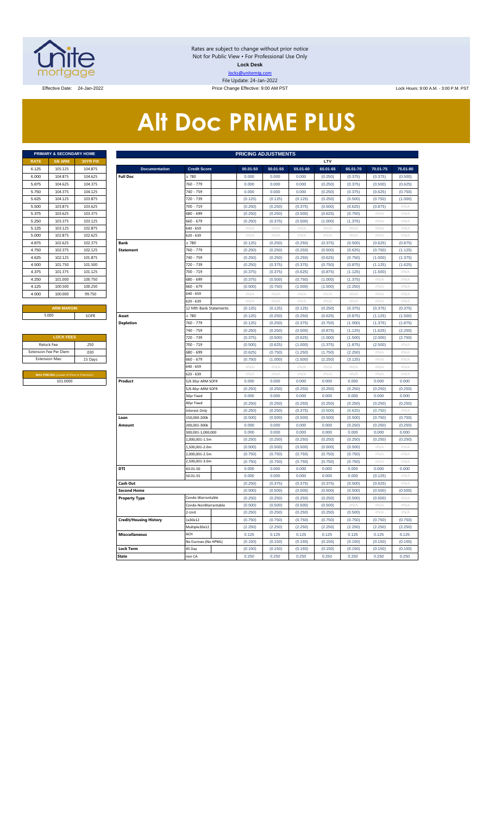

Rates are subject to change without prior notice Not for Public View • For Professional Use Only **Lock Desk** locks@unitemtg.com File Update: 24-Jan-2022 Effective Date: 24-Jan-2022 Price Change Effective: 9:00 AM PST Lock Hours: 9:00 A.M. - 3:00 P.M. PST

# **Alt Doc PRIME PLUS**

|             | <b>PRIMARY &amp; SECONDARY HOME</b> |                 |
|-------------|-------------------------------------|-----------------|
| <b>RATE</b> | <b>5/6 ARM</b>                      | <b>30YR FIX</b> |
| 6.125       | 105.125                             | 104.875         |
| 6.000       | 104.875                             | 104.625         |
| 5.875       | 104.625                             | 104.375         |
| 5.750       | 104.375                             | 104.125         |
| 5.625       | 104.125                             | 103.875         |
| 5.500       | 103.875                             | 103.625         |
| 5.375       | 103.625                             | 103.375         |
| 5.250       | 103.375                             | 103.125         |
| 5.125       | 103.125                             | 102.875         |
| 5.000       | 102.875                             | 102.625         |
| 4.875       | 102.625                             | 102.375         |
| 4.750       | 102.375                             | 102.125         |
| 4.625       | 102.125                             | 101.875         |
| 4.500       | 101.750                             | 101.500         |
| 4.375       | 101.375                             | 101.125         |
| 4.250       | 101.000                             | 100.750         |
| 4.125       | 100.500                             | 100.250         |
| 4.000       | 100.000                             | 99.750          |
|             |                                     |                 |

| <b>LOCK FEES</b>                               |         |
|------------------------------------------------|---------|
| Relock Fee:                                    | .250    |
| <b>Extension Fee Per Diem</b>                  | .030    |
| <b>Extension Max:</b>                          | 15 Days |
|                                                |         |
| <b>MAX PRICING (Lower of Price or Premium)</b> |         |
| 101.0000                                       |         |

|                               | PRIMARY & SECONDARY HOME                    |                 |                               |                        |             | <b>PRICING ADJUSTMENTS</b> |                  |                           |          |          |             |
|-------------------------------|---------------------------------------------|-----------------|-------------------------------|------------------------|-------------|----------------------------|------------------|---------------------------|----------|----------|-------------|
| <b>RATE</b>                   | <b>5/6 ARM</b>                              | <b>30YR FIX</b> |                               |                        |             |                            |                  | LTV                       |          |          |             |
| 6.125                         | 105.125                                     | 104.875         | <b>Documentation</b>          | <b>Credit Score</b>    | 00.01-50    | 50.01-55                   | 55.01-60         | 60.01-65                  | 65.01-70 | 70.01-75 | 75.01-80    |
| 6.000                         | 104.875                                     | 104.625         | <b>Full Doc</b>               | 780                    | 0.000       | 0.000                      | 0.000            | (0.250)                   | (0.375)  | (0.375)  | (0.500)     |
| 5.875                         | 104.625                                     | 104.375         |                               | 760 - 779              | 0.000       | 0.000                      | 0.000            | (0.250)                   | (0.375)  | (0.500)  | (0.625)     |
| 5.750                         | 104.375                                     | 104.125         |                               | 740 - 759              | 0.000       | 0.000                      | 0.000            | (0.250)                   | (0.375)  | (0.625)  | (0.750)     |
| 5.625                         | 104.125                                     | 103.875         |                               | 720 - 739              | (0.125)     | (0.125)                    | (0.125)          | (0.250)                   | (0.500)  | (0.750)  | (1.000)     |
| 5.500                         | 103.875                                     | 103.625         |                               | 700 - 719              | (0.250)     | (0.250)                    | (0.375)          | (0.500)                   | (0.625)  | (0.875)  | #N/A        |
| 5.375                         | 103.625                                     | 103.375         |                               | 680 - 699              | (0.250)     | (0.250)                    | (0.500)          | (0.625)                   | (0.750)  | #N/A     | #N/A        |
| 5.250                         | 103.375                                     | 103.125         |                               | 660 - 679              | (0.250)     | (0.375)                    | (0.500)          | (1.000)                   | (1.375)  | #N/A     | #N/A        |
| 5.125                         | 103.125                                     | 102.875         |                               | 640 - 659              | #N/A        | #N/A                       | #N/A             | #N/A                      | #N/A     | #N/A     | #N/A        |
| 5.000                         | 102.875                                     | 102.625         |                               | 620 - 639              | #N/A        | #N/A                       | #N/A             | $\#N/A$                   | #N/A     | #N/A     | #N/A        |
| 4.875                         | 102.625                                     | 102.375         | <b>Bank</b>                   | > 780                  | (0.125)     | (0.250)                    | (0.250)          | (0.375)                   | (0.500)  | (0.625)  | (0.875)     |
| 4.750                         | 102.375                                     | 102.125         | <b>Statement</b>              | 760 - 779              | (0.250)     | (0.250)                    | (0.250)          | (0.500)                   | (0.625)  | (0.750)  | (1.125)     |
| 4.625                         | 102.125                                     | 101.875         |                               | 740 - 759              | (0.250)     | (0.250)                    | (0.250)          | (0.625)                   | (0.750)  | (1.000)  | (1.375)     |
| 4.500                         | 101.750                                     | 101.500         |                               | 720 - 739              | (0.250)     | (0.375)                    | (0.375)          | (0.750)                   | (0.875)  | (1.125)  | (1.625)     |
| 4.375                         | 101.375                                     | 101.125         |                               | 700 - 719              | (0.375)     | (0.375)                    | (0.625)          | (0.875)                   | (1.125)  | (1.500)  | #N/A        |
| 4.250                         | 101.000                                     | 100.750         |                               | 680 - 699              | (0.375)     | (0.500)                    | (0.750)          | (1.000)                   | (1.375)  | #N/A     | $\#N/\beta$ |
| 4.125                         | 100.500                                     | 100.250         |                               | 660 - 679              | (0.500)     | (0.750)                    | (1.000)          | (1.500)                   | (2.250)  | # $N/$   | #N/A        |
| 4.000                         | 100.000                                     | 99.750          |                               | $540 - 659$            | #N/A        | $\#N/A$                    | $\#N/A$          | #N/A                      | #N/A     | #N/A     | #N/A        |
|                               |                                             |                 |                               | 620 - 639              | $\#N/\beta$ | #N/A                       | $\#N/\beta$      | #N//                      | #N/A     | #N//     | #N/A        |
|                               | <b>ARM MARGIN</b>                           |                 |                               | 12 Mth Bank Statements | (0.125)     | (0.125)                    | (0.125)          | (0.250)                   | (0.375)  | (0.375)  | (0.375)     |
|                               | 5.000                                       | SOFR            | Asset                         | 2780                   | (0.125)     | (0.250)                    | (0.250)          | (0.625)                   | (0.875)  | (1.125)  | (1.500)     |
|                               |                                             |                 | <b>Depletion</b>              | 760 - 779              | (0.125)     | (0.250)                    | (0.375)          | (0.750)                   | (1.000)  | (1.375)  | (1.875)     |
|                               |                                             |                 |                               | 740 - 759              | (0.250)     | (0.250)                    | (0.500)          | (0.875)                   | (1.125)  | (1.625)  | (2.250)     |
|                               | <b>LOCK FEES</b>                            |                 |                               | 720 - 739              | (0.375)     | (0.500)                    | (0.625)          | (1.000)                   | (1.500)  | (2.000)  | (2.750)     |
|                               | Relock Fee:                                 | .250            |                               | 700 - 719              | (0.500)     | (0.625)                    | (1.000)          | (1.375)                   | (1.875)  | (2.500)  | $\#N/A$     |
| xtension Fee Per Diem<br>.030 |                                             |                 |                               | 680 - 699              | (0.625)     | (0.750)                    | (1.250)          | (1.750)                   | (2.250)  | #N//     | #N/A        |
|                               | <b>Extension Max:</b>                       | 15 Days         |                               | 660 - 679              | (0.750)     | (1.000)                    | (1.500)          | (2.250)                   | (3.125)  | # $N/A$  | #N/A        |
|                               |                                             |                 |                               | 640 - 659              | # $N/A$     | # $N/A$                    | $\#\mathsf{N/A}$ | $\#\mathsf{N}/\mathsf{A}$ | #N/A     | # $N/A$  | #N/A        |
|                               | <b>MAX PRICING</b> (Lower of Price or Premi |                 |                               | 620 - 639              | $\#N/A$     | #N/A                       | $\#N/A$          | #N/A                      | #N/A     | #N/A     | #N/A        |
|                               | 101.0000                                    |                 | Product                       | 5/6 30yr ARM SOFR      | 0.000       | 0.000                      | 0.000            | 0.000                     | 0.000    | 0.000    | 0.000       |
|                               |                                             |                 |                               | 5/6 40yr ARM SOFR      | (0.250)     | (0.250)                    | (0.250)          | (0.250)                   | (0.250)  | (0.250)  | (0.250)     |
|                               |                                             |                 |                               | 30yr Fixed             | 0.000       | 0.000                      | 0.000            | 0.000                     | 0.000    | 0.000    | 0.000       |
|                               |                                             |                 |                               | 40yr Fixed             | (0.250)     | (0.250)                    | (0.250)          | (0.250)                   | (0.250)  | (0.250)  | (0.250)     |
|                               |                                             |                 |                               | nterest-Only           | (0.250)     | (0.250)                    | (0.375)          | (0.500)                   | (0.625)  | (0.750)  | #N//        |
|                               |                                             |                 | Loan                          | 150,000-200k           | (0.500)     | (0.500)                    | (0.500)          | (0.500)                   | (0.500)  | (0.750)  | (0.750)     |
|                               |                                             |                 | Amount                        | 200.001-300k           | 0.000       | 0.000                      | 0.000            | 0.000                     | (0.250)  | (0.250)  | (0.250)     |
|                               |                                             |                 |                               | 300,001-1,000,000      | 0.000       | 0.000                      | 0.000            | 0.000                     | 0.000    | 0.000    | 0.000       |
|                               |                                             |                 |                               | 1,000,001-1.5m         | (0.250)     | (0.250)                    | (0.250)          | (0.250)                   | (0.250)  | (0.250)  | (0.250)     |
|                               |                                             |                 |                               | 1,500,001-2.0m         | (0.500)     | (0.500)                    | (0.500)          | (0.500)                   | (0.500)  | # $N/A$  | #N/A        |
|                               |                                             |                 |                               | 2,000,001-2.5m         | (0.750)     | (0.750)                    | (0.750)          | (0.750)                   | (0.750)  | #N/A     | #N/A        |
|                               |                                             |                 |                               | 2,500,001-3.0m         | (0.750)     | (0.750)                    | (0.750)          | (0.750)                   | (0.750)  | #N/A     | #N/A        |
|                               |                                             |                 | DTI                           | 43.01-50               | 0.000       | 0.000                      | 0.000            | 0.000                     | 0.000    | 0.000    | 0.000       |
|                               |                                             |                 |                               | 50.01-55               | 0.000       | 0.000                      | 0.000            | 0.000                     | 0.000    | (0.125)  | #N/A        |
|                               |                                             |                 | Cash Out                      |                        | (0.250)     | (0.375)                    | (0.375)          | (0.375)                   | (0.500)  | (0.625)  | #N/A        |
|                               |                                             |                 | <b>Second Home</b>            |                        | (0.500)     | (0.500)                    | (0.500)          | (0.500)                   | (0.500)  | (0.500)  | (0.500)     |
|                               |                                             |                 | <b>Property Type</b>          | Condo-Warrantable      | (0.250)     | (0.250)                    | (0.250)          | (0.250)                   | (0.500)  | (0.500)  | #N/A        |
|                               |                                             |                 |                               | Condo-NonWarrantable   | (0.500)     | (0.500)                    | (0.500)          | (0.500)                   | #N/A     | #N/A     | #N/A        |
|                               |                                             |                 |                               | 2-Unit                 | (0.250)     | (0.250)                    | (0.250)          | (0.250)                   | (0.500)  | #N//     | #N/A        |
|                               |                                             |                 | <b>Credit/Housing History</b> | 1x30x12                | (0.750)     | (0.750)                    | (0.750)          | (0.750)                   | (0.750)  | (0.750)  | (0.750)     |
|                               |                                             |                 |                               | Multiple30x12          | (2.250)     | (2.250)                    | (2.250)          | (2.250)                   | (2.250)  | (2.250)  | (2.250)     |
|                               |                                             |                 | <b>Misccellaneous</b>         | ACH                    | 0.125       | 0.125                      | 0.125            | 0.125                     | 0.125    | 0.125    | 0.125       |
|                               |                                             |                 |                               | No Escrows (No HPML)   | (0.150)     | (0.150)                    | (0.150)          | (0.150)                   | (0.150)  | (0.150)  | (0.150)     |
|                               |                                             |                 | <b>Lock Term</b>              | 45 Day                 | (0.150)     | (0.150)                    | (0.150)          | (0.150)                   | (0.150)  | (0.150)  | (0.150)     |
|                               |                                             |                 | <b>State</b>                  | non CA                 | 0.250       | 0.250                      | 0.250            | 0.250                     | 0.250    | 0.250    | 0.250       |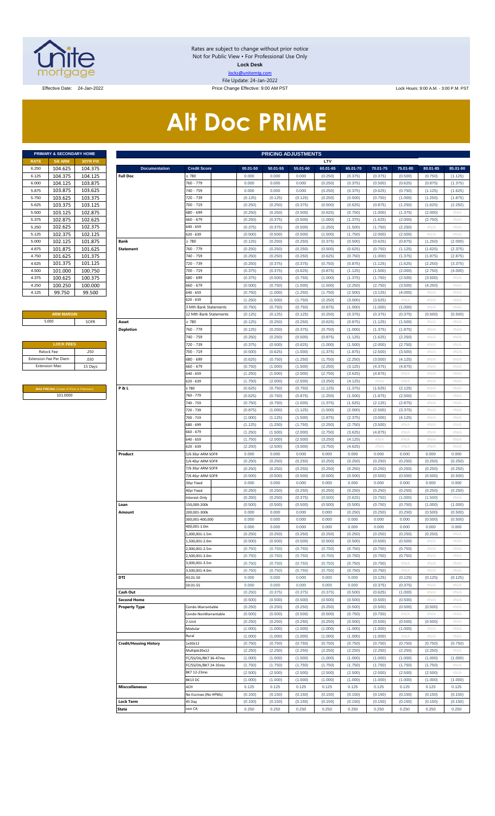

Rates are subject to change without prior notice Not for Public View • For Professional Use Only **Lock Desk** locks@unitemtg.com File Update: 24-Jan-2022

Effective Date: 24-Jan-2022 **Price Change Effective: 9:00 AM PST** Lock Hours: 9:00 A.M. - 3:00 P.M. PST

# **Alt Doc PRIME**

| PRIMARY & SECONDARY HOME |                 |  |  |  |  |  |  |  |  |  |  |  |
|--------------------------|-----------------|--|--|--|--|--|--|--|--|--|--|--|
| <b>5/6 ARM</b>           | <b>30YR FIX</b> |  |  |  |  |  |  |  |  |  |  |  |
| 104.625                  | 104.375         |  |  |  |  |  |  |  |  |  |  |  |
| 104.375                  | 104.125         |  |  |  |  |  |  |  |  |  |  |  |
| 104.125                  | 103.875         |  |  |  |  |  |  |  |  |  |  |  |
| 103.875                  | 103.625         |  |  |  |  |  |  |  |  |  |  |  |
| 103.625                  | 103.375         |  |  |  |  |  |  |  |  |  |  |  |
| 103.375                  | 103.125         |  |  |  |  |  |  |  |  |  |  |  |
| 103.125                  | 102.875         |  |  |  |  |  |  |  |  |  |  |  |
| 102.875                  | 102.625         |  |  |  |  |  |  |  |  |  |  |  |
| 102.625                  | 102.375         |  |  |  |  |  |  |  |  |  |  |  |
| 102.375                  | 102.125         |  |  |  |  |  |  |  |  |  |  |  |
| 102.125                  | 101.875         |  |  |  |  |  |  |  |  |  |  |  |
| 101.875                  | 101.625         |  |  |  |  |  |  |  |  |  |  |  |
| 101.625                  | 101.375         |  |  |  |  |  |  |  |  |  |  |  |
| 101.375                  | 101.125         |  |  |  |  |  |  |  |  |  |  |  |
| 101.000                  | 100.750         |  |  |  |  |  |  |  |  |  |  |  |
| 100.625                  | 100.375         |  |  |  |  |  |  |  |  |  |  |  |
| 100.250                  | 100.000         |  |  |  |  |  |  |  |  |  |  |  |
| 99.750                   | 99.500          |  |  |  |  |  |  |  |  |  |  |  |
|                          |                 |  |  |  |  |  |  |  |  |  |  |  |

#### **ARM MARGIN**

| <b>LOCK FEES</b>              |         |
|-------------------------------|---------|
| Relock Fee:                   | .250    |
| <b>Extension Fee Per Diem</b> | .030    |
| <b>Extension Max:</b>         | 15 Days |
|                               |         |

**MAX PRICING** (Lower of Price or Premium) 101.0000

|                       | PRIMARY & SECONDARY HOME                |                               | <b>PRICING ADJUSTMENTS</b> |                              |         |                    |                    |                    |                    |                    |                    |                    |                    |                 |
|-----------------------|-----------------------------------------|-------------------------------|----------------------------|------------------------------|---------|--------------------|--------------------|--------------------|--------------------|--------------------|--------------------|--------------------|--------------------|-----------------|
| RATE                  | <b>5/6 ARM</b>                          | 30YR FIX                      |                            |                              |         |                    |                    |                    | LTV                |                    |                    |                    |                    |                 |
| 6.250                 | 104.625                                 | 104.375                       | <b>Documentation</b>       | <b>Credit Score</b>          |         | 00.01-50           | 50.01-55           | 55.01-60           | 60.01-65           | 65.01-70           | 70.01-75           | 75.01-80           | 80.01-85           | 85.01-90        |
| 6.125                 | 104.375                                 | 104.125                       | <b>Full Doc</b>            | : 780<br>760 - 779           |         | 0.000              | 0.000              | 0.000              | (0.250)            | (0.375)            | (0.375)            | (0.500)            | (0.750)            | (1.125)         |
| 6.000                 | 104.125                                 | 103.875                       |                            |                              |         | 0.000              | 0.000              | 0.000              | (0.250)            | (0.375)            | (0.500)            | (0.625)            | (0.875)            | (1.375)         |
| 5.875                 | 103.875<br>103.625                      | 103.625                       |                            | 740 - 759                    |         | 0.000              | 0.000              | 0.000              | (0.250)            | (0.375)            | (0.625)            | (0.750)            | (1.125)            | (1.625)         |
| 5.750<br>5.625        |                                         | 103.375                       |                            | 720 - 739                    |         | (0.125)            | (0.125)            | (0.125)            | (0.250)            | (0.500)            | (0.750)            | (1.000)            | (1.250)            | (1.875)         |
| 5.500                 | 103.375<br>103.125                      | 103.125<br>102.875            |                            | 700 - 719<br>680 - 699       |         | (0.250)<br>(0.250) | (0.250)<br>(0.250) | (0.375)<br>(0.500) | (0.500)<br>(0.625) | (0.625)<br>(0.750) | (0.875)<br>(1.000) | (1.250)<br>(1.375) | (1.625)<br>(2.000) | (2.250)<br>#N/A |
| 5.375                 | 102.875                                 | 102.625                       |                            | 660 - 679                    |         | (0.250)            | (0.375)            | (0.500)            | (1.000)            | (1.375)            | (1.625)            | (2.000)            | (2.750)            | #N/A            |
| 5.250                 | 102.625                                 | 102.375                       |                            | 640 - 659                    |         | (0.375)            | (0.375)            | (0.500)            | (1.250)            | (1.500)            | (1.750)            | (2.250)            | #N/A               | #N/A            |
| 5.125                 | 102.375                                 | 102.125                       |                            | 620 - 639                    |         | (0.500)            | (0.500)            | (0.500)            | (1.500)            | (1.750)            | (2.000)            | (2.500)            | #N/A               | #N/A            |
| 5.000                 | 102.125                                 | 101.875                       | Bank                       | : 780                        |         | (0.125)            | (0.250)            | (0.250)            | (0.375)            | (0.500)            | (0.625)            | (0.875)            | (1.250)            | (2.000)         |
| 4.875                 | 101.875                                 | 101.625                       | <b>Statement</b>           | 760 - 779                    |         | (0.250)            | (0.250)            | (0.250)            | (0.500)            | (0.625)            | (0.750)            | (1.125)            | (1.625)            | (2.375)         |
| 4.750                 | 101.625                                 | 101.375                       |                            | 740 - 759                    |         | (0.250)            | (0.250)            | (0.250)            | (0.625)            | (0.750)            | (1.000)            | (1.375)            | (1.875)            | (2.875)         |
| 4.625                 | 101.375                                 | 101.125                       |                            | 720 - 739                    |         | (0.250)            | (0.375)            | (0.375)            | (0.750)            | (0.875)            | (1.125)            | (1.625)            | (2.250)            | (3.375)         |
| 4.500                 | 101.000                                 | 100.750                       |                            | 700 - 719                    |         | (0.375)            | (0.375)            | (0.625)            | (0.875)            | (1.125)            | (1.500)            | (2.000)            | (2.750)            | (4.000)         |
| 4.375                 | 100.625                                 | 100.375                       |                            | 680 - 699                    |         | (0.375)            | (0.500)            | (0.750)            | (1.000)            | (1.375)            | (1.750)            | (2.500)            | (3.500)            | #N/A            |
| 4.250                 | 100.250                                 | 100.000                       |                            | 660 - 679                    |         | (0.500)            | (0.750)            | (1.000)            | (1.500)            | (2.250)            | (2.750)            | (3.500)            | (4.250)            | #N/A            |
| 4.125                 | 99.750                                  | 99.500                        |                            | 640 - 659                    |         | (0.750)            | (1.000)            | (1.250)            | (1.750)            | (2.500)            | (3.125)            | (4.000)            | #N/A               | #N/A            |
|                       |                                         |                               |                            | 620 - 639                    |         | (1.250)            | (1.500)            | (1.750)            | (2.250)            | (3.000)            | (3.625)            | #N/A               | #N/A               | #N/A            |
|                       |                                         |                               |                            | 3 Mth Bank Statements        |         | (0.750)            | (0.750)            | (0.750)            | (0.875)            | (1.000)            | (1.000)            | (1.000)            | #N/A               | #N/A            |
|                       | <b>ARM MARGIN</b>                       |                               |                            | 12 Mth Bank Statements       |         | (0.125)            | (0.125)            | (0.125)            | (0.250)            | (0.375)            | (0.375)            | (0.375)            | (0.500)            | (0.500)         |
|                       | 5.000                                   | SOFR                          | Asset                      | 2780                         |         | (0.125)            | (0.250)            | (0.250)            | (0.625)            | (0.875)            | (1.125)            | (1.500)            | #N/A               | #N/A            |
|                       |                                         |                               | <b>Depletion</b>           | 760 - 779                    |         | (0.125)            | (0.250)            | (0.375)            | (0.750)            | (1.000)            | (1.375)            | (1.875)            | #N/A               | #N/A            |
|                       |                                         |                               |                            | 740 - 759                    |         | (0.250)            | (0.250)            | (0.500)            | (0.875)            | (1.125)            | (1.625)            | (2.250)            | $\#N/A$            | #N/A            |
|                       | <b>LOCK FEES</b>                        |                               |                            | 720 - 739                    |         | (0.375)            | (0.500)            | (0.625)            | (1.000)            | (1.500)            | (2.000)            | (2.750)            | $\#N/A$            | #N/A            |
| Relock Fee:           |                                         | .250                          |                            | 700 - 719                    |         | (0.500)            | (0.625)            | (1.000)            | (1.375)            | (1.875)            | (2.500)            | (3.500)            | $\#N/A$            | #N/A            |
|                       | xtension Fee Per Diem                   | .030                          |                            | 680 - 699                    |         | (0.625)            | (0.750)            | (1.250)            | (1.750)            | (2.250)            | (3.000)            | (4.125)            | # $N/A$            | #N/A            |
| <b>Extension Max:</b> |                                         | 15 Days                       |                            | 660 - 679                    |         | (0.750)            | (1.000)            | (1.500)            | (2.250)            | (3.125)            | (4.375)            | (4.875)            | $\#N/A$            | #N/A            |
|                       |                                         |                               |                            | 640 - 659                    |         | (1.250)            | (1.500)            | (2.000)            | (2.750)            | (3.625)            | (4.875)            | #N/A               | $\#N/A$            | #N/A            |
|                       |                                         |                               |                            | 620 - 639                    |         | (1.750)            | (2.000)            | (2.500)            | (3.250)            | (4.125)            | #N/A               | #N/A               | $\#N/A$            | #N/A            |
|                       | MAX PRICING (Lower of Price or Premium) |                               | P&L                        | 2780                         |         | (0.625)            | (0.750)            | (0.750)            | (1.125)            | (1.375)            | (1.625)            | (2.125)            | $\#N/A$            | #N/A            |
|                       | 101.0000                                |                               |                            | 760 - 779                    |         | (0.625)            | (0.750)            | (0.875)            | (1.250)            | (1.500)            | (1.875)            | (2.500)            | $\#N/A$            | #N/A            |
|                       |                                         |                               |                            | 740 - 759                    |         | (0.750)            | (0.750)            | (1.000)            | (1.375)            | (1.625)            | (2.125)            | (2.875)            | # $N/A$            | #N/A            |
|                       |                                         |                               |                            | 720 - 739                    |         | (0.875)            | (1.000)            | (1.125)            | (1.500)            | (2.000)            | (2.500)            | (3.375)            | $\#N/A$            | #N/A            |
|                       |                                         |                               |                            | 700 - 719                    |         | (1.000)            | (1.125)            | (1.500)            | (1.875)            | (2.375)            | (3.000)            | (4.125)            | $\#N/A$            | #N/A            |
|                       |                                         |                               |                            | 680 - 699                    |         | (1.125)            | (1.250)            | (1.750)            | (2.250)            | (2.750)            | (3.500)            | #N/A               | $\#N/A$            | #N/A            |
|                       |                                         |                               |                            | 660 - 679                    |         | (1.250)            | (1.500)            | (2.000)            | (2.750)            | (3.625)            | (4.875)            | #N/A               | $\#N/A$            | #N/A            |
|                       |                                         |                               |                            | 640 - 659                    |         | (1.750)            | (2.000)            | (2.500)            | (3.250)            | (4.125)            | #N/A               | #N/A               | $\#N/A$            | #N/A            |
|                       |                                         |                               |                            | 620 - 639                    |         | (2.250)            | (2.500)            | (3.000)            | (3.750)            | (4.625)            | #N/A               | #N/A               | $\#N/A$            | #N/A            |
|                       |                                         |                               | Product                    | 5/6 30yr ARM SOFR            |         | 0.000              | 0.000              | 0.000              | 0.000              | 0.000              | 0.000              | 0.000              | 0.000              | 0.000           |
|                       |                                         |                               |                            | 5/6 40yr ARM SOFR            |         | (0.250)            | (0.250)            | (0.250)            | (0.250)            | (0.250)            | (0.250)            | (0.250)            | (0.250)            | (0.250)         |
|                       |                                         |                               |                            | 7/6 30yr ARM SOFR            |         | (0.250)            | (0.250)            | (0.250)            | (0.250)            | (0.250)            | (0.250)            | (0.250)            | (0.250)            | (0.250)         |
|                       |                                         |                               |                            | 7/6 40yr ARM SOFR            |         | (0.500)            | (0.500)            | (0.500)            | (0.500)            | (0.500)            | (0.500)            | (0.500)            | (0.500)            | (0.500)         |
|                       |                                         |                               |                            | 30yr Fixed                   |         | 0.000              | 0.000              | 0.000              | 0.000              | 0.000              | 0.000              | 0.000              | 0.000              | 0.000           |
|                       |                                         |                               |                            | 40yr Fixed                   |         | (0.250)            | (0.250)            | (0.250)            | (0.250)            | (0.250)            | (0.250)            | (0.250)            | (0.250)            | (0.250)         |
|                       |                                         |                               | Loan                       | nterest-Only<br>150,000-200k |         | (0.250)<br>(0.500) | (0.250)<br>(0.500) | (0.375)<br>(0.500) | (0.500)<br>(0.500) | (0.625)<br>(0.500) | (0.750)<br>(0.750) | (1.000)<br>(0.750) | (1.500)<br>(1.000) | #N/A<br>(1.000) |
|                       |                                         |                               | Amount                     | 200,001-300k                 |         | 0.000              | 0.000              | 0.000              | 0.000              | (0.250)            | (0.250)            | (0.250)            | (0.500)            | (0.500)         |
|                       |                                         |                               |                            | 300,001-400,000              |         | 0.000              | 0.000              | 0.000              | 0.000              | 0.000              | 0.000              | 0.000              | (0.500)            | (0.500)         |
|                       |                                         |                               |                            | 400,001-1.0m                 |         | 0.000              | 0.000              | 0.000              | 0.000              | 0.000              | 0.000              | 0.000              | 0.000              | 0.000           |
|                       |                                         |                               |                            | .,000,001-1.5m               |         | (0.250)            | (0.250)            | (0.250)            | (0.250)            | (0.250)            | (0.250)            | (0.250)            | (0.250)            | #N/A            |
|                       |                                         |                               |                            | ,500,001-2.0m                |         | (0.500)            | (0.500)            | (0.500)            | (0.500)            | (0.500)            | (0.500)            | (0.500)            | $\#N/A$            | #N/A            |
|                       |                                         |                               |                            | .000,001-2.5m                |         | (0.750)            | (0.750)            | (0.750)            | (0.750)            | (0.750)            | (0.750)            | (0.750)            | # $N/A$            | #N/A            |
|                       |                                         |                               |                            | ,500,001-3.0m                |         | (0.750)            | (0.750)            | (0.750)            | (0.750)            | (0.750)            | (0.750)            | (0.750)            | $\#N/A$            | #N/A            |
|                       |                                         |                               |                            | 3,000,001-3.5m               |         | (0.750)            | (0.750)            | (0.750)            | (0.750)            | (0.750)            | (0.750)            | #N/A               | # $N/A$            | #N/A            |
|                       |                                         |                               |                            | ,500,001-4.0m                |         | (0.750)            | (0.750)            | (0.750)            | (0.750)            | (0.750)            | (0.750)            | #N/A               | $\#N/A$            | #N/A            |
|                       |                                         |                               | DTI                        | 43.01-50                     |         | 0.000              | 0.000              | 0.000              | 0.000              | 0.000              | (0.125)            | (0.125)            | (0.125)            | (0.125)         |
|                       |                                         |                               |                            | 50.01-55                     |         | 0.000              | 0.000              | 0.000              | 0.000              | 0.000              | (0.375)            | (0.375)            | $\#N/A$            | #N/A            |
|                       |                                         |                               | Cash Out                   |                              |         | (0.250)            | (0.375)            | (0.375)            | (0.375)            | (0.500)            | (0.625)            | (1.000)            | # $N/A$            | #N/A            |
|                       |                                         |                               | <b>Second Home</b>         |                              |         | (0.500)            | (0.500)            | (0.500)            | (0.500)            | (0.500)            | (0.500)            | (0.500)            | $\#N/A$            | #N/A            |
|                       |                                         |                               | <b>Property Type</b>       | Condo-Warrantable            |         | (0.250)            | (0.250)            | (0.250)            | (0.250)            | (0.500)            | (0.500)            | (0.500)            | (0.500)            | # $N/A$         |
|                       |                                         |                               |                            | Condo-NonWarrantable         |         | (0.500)            | (0.500)            | (0.500)            | (0.500)            | (0.750)            | (0.750)            | #N/A               | $\#N/A$            | #N/A            |
|                       |                                         |                               |                            | !-Unit                       |         | (0.250)            | (0.250)            | (0.250)            | (0.250)            | (0.500)            | (0.500)            | (0.500)            | (0.500)            | # $N/A$         |
|                       |                                         |                               |                            | Modular                      |         | (1.000)            | (1.000)            | (1.000)            | (1.000)            | (1.000)            | (1.000)            | (1.000)            | $\#N/A$            | #N/A            |
|                       |                                         |                               |                            | Rural                        |         | (1.000)            | (1.000)            | (1.000)            | (1.000)            | (1.000)            | (1.000)            | #N/A               | #N/A               | # $N/A$         |
|                       |                                         | <b>Credit/Housing History</b> | 1x30x12                    |                              | (0.750) | (0.750)            | (0.750)            | (0.750)            | (0.750)            | (0.750)            | (0.750)            | (0.750)            | (0.750)            |                 |
|                       |                                         |                               | Multiple30x12              |                              | (2.250) | (2.250)            | (2.250)            | (2.250)            | (2.250)            | (2.250)            | (2.250)            | (2.250)            | #N/A               |                 |
|                       |                                         |                               | FC/SS/DIL/BK7 36-47mo      |                              | (1.000) | (1.000)            | (1.000)            | (1.000)            | (1.000)            | (1.000)            | (1.000)            | (1.000)            | (1.000)            |                 |
|                       |                                         |                               |                            | FC/SS/DIL/BK7 24-35mo        |         | (1.750)            | (1.750)            | (1.750)            | (1.750)            | (1.750)            | (1.750)            | (1.750)            | (1.750)            | #N/A            |
|                       |                                         |                               |                            | BK7 12-23mo                  |         | (2.500)            | (2.500)            | (2.500)            | (2.500)            | (2.500)            | (2.500)            | (2.500)            | (2.500)            | #N/A            |
|                       |                                         |                               |                            | BK13DC                       |         | (1.000)            | (1.000)            | (1.000)            | (1.000)            | (1.000)            | (1.000)            | (1.000)            | (1.000)            | (1.000)         |
|                       |                                         |                               | <b>Misccellaneous</b>      | ACH                          |         | 0.125              | 0.125              | 0.125              | 0.125              | 0.125              | 0.125              | 0.125              | 0.125              | 0.125           |
|                       |                                         |                               |                            | No Escrows (No HPML)         |         | (0.150)            | (0.150)            | (0.150)            | (0.150)            | (0.150)            | (0.150)            | (0.150)            | (0.150)            | (0.150)         |
|                       |                                         |                               | <b>Lock Term</b>           | 45 Day                       |         | (0.150)            | (0.150)            | (0.150)<br>0.250   | (0.150)            | (0.150)            | (0.150)            | (0.150)            | (0.150)            | (0.150)         |
|                       |                                         |                               | <b>State</b>               | non CA                       |         | 0.250              | 0.250              |                    | 0.250              | 0.250              | 0.250              | 0.250              | 0.250              | 0.250           |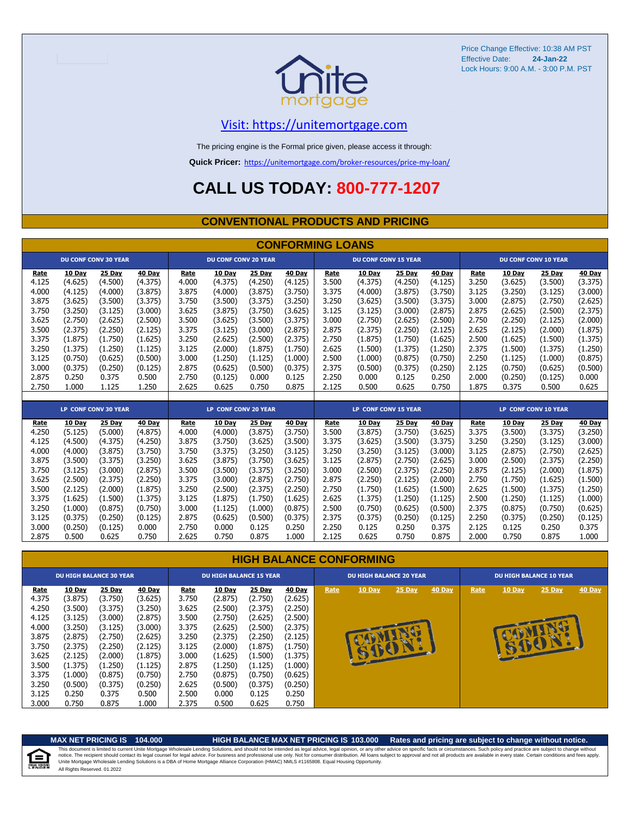

#### [V](https://unitemortgage.com/)isit: https://unitemortgage.com

The pricing engine is the Formal price given, please access it through:

**Quick Pricer:** [https://un](https://unitemortgage.com/broker-resources/price-my-loan/)itemortgage.com/broker-resources/price-my-loan/

### **CALL US TODAY: 800-777-1207**

#### **CONVENTIONAL PRODUCTS AND PRICING**

|             | <b>CONFORMING LOANS</b> |                             |         |                      |                             |         |         |                      |                      |         |               |       |         |                             |         |
|-------------|-------------------------|-----------------------------|---------|----------------------|-----------------------------|---------|---------|----------------------|----------------------|---------|---------------|-------|---------|-----------------------------|---------|
|             |                         | <b>DU CONF CONV 30 YEAR</b> |         |                      | <b>DU CONF CONV 20 YEAR</b> |         |         |                      | DU CONF CONV 15 YEAR |         |               |       |         | <b>DU CONF CONV 10 YEAR</b> |         |
| Rate        | 10 Day                  | 25 Day                      | 40 Day  | Rate                 | 10 Day                      | 25 Day  | 40 Day  | Rate                 | 10 Day               | 25 Day  | 40 Day        | Rate  | 10 Day  | 25 Day                      | 40 Day  |
| 4.125       | (4.625)                 | (4.500)                     | (4.375) | 4.000                | (4.375)                     | (4.250) | (4.125) | 3.500                | (4.375)              | (4.250) | (4.125)       | 3.250 | (3.625) | (3.500)                     | (3.375) |
| 4.000       | (4.125)                 | (4.000)                     | (3.875) | 3.875                | (4.000)                     | (3.875) | (3.750) | 3.375                | (4.000)              | (3.875) | (3.750)       | 3.125 | (3.250) | (3.125)                     | (3.000) |
| 3.875       | (3.625)                 | (3.500)                     | (3.375) | 3.750                | (3.500)                     | (3.375) | (3.250) | 3.250                | (3.625)              | (3.500) | (3.375)       | 3.000 | (2.875) | (2.750)                     | (2.625) |
| 3.750       | (3.250)                 | (3.125)                     | (3.000) | 3.625                | (3.875)                     | (3.750) | (3.625) | 3.125                | (3.125)              | (3.000) | (2.875)       | 2.875 | (2.625) | (2.500)                     | (2.375) |
| 3.625       | (2.750)                 | (2.625)                     | (2.500) | 3.500                | (3.625)                     | (3.500) | (3.375) | 3.000                | (2.750)              | (2.625) | (2.500)       | 2.750 | (2.250) | (2.125)                     | (2.000) |
| 3.500       | (2.375)                 | (2.250)                     | (2.125) | 3.375                | (3.125)                     | (3.000) | (2.875) | 2.875                | (2.375)              | (2.250) | (2.125)       | 2.625 | (2.125) | (2.000)                     | (1.875) |
| 3.375       | (1.875)                 | (1.750)                     | (1.625) | 3.250                | (2.625)                     | (2.500) | (2.375) | 2.750                | (1.875)              | (1.750) | (1.625)       | 2.500 | (1.625) | (1.500)                     | (1.375) |
| 3.250       | (1.375)                 | (1.250)                     | (1.125) | 3.125                | (2.000)                     | (1.875) | (1.750) | 2.625                | (1.500)              | (1.375) | (1.250)       | 2.375 | (1.500) | (1.375)                     | (1.250) |
| 3.125       | (0.750)                 | (0.625)                     | (0.500) | 3.000                | (1.250)                     | (1.125) | (1.000) | 2.500                | (1.000)              | (0.875) | (0.750)       | 2.250 | (1.125) | (1.000)                     | (0.875) |
| 3.000       | (0.375)                 | (0.250)                     | (0.125) | 2.875                | (0.625)                     | (0.500) | (0.375) | 2.375                | (0.500)              | (0.375) | (0.250)       | 2.125 | (0.750) | (0.625)                     | (0.500) |
| 2.875       | 0.250                   | 0.375                       | 0.500   | 2.750                | (0.125)                     | 0.000   | 0.125   | 2.250                | 0.000                | 0.125   | 0.250         | 2.000 | (0.250) | (0.125)                     | 0.000   |
| 2.750       | 1.000                   | 1.125                       | 1.250   | 2.625                | 0.625                       | 0.750   | 0.875   | 2.125                | 0.500                | 0.625   | 0.750         | 1.875 | 0.375   | 0.500                       | 0.625   |
|             |                         |                             |         |                      |                             |         |         |                      |                      |         |               |       |         |                             |         |
|             |                         | LP CONF CONV 30 YEAR        |         | LP CONF CONV 20 YEAR |                             |         |         | LP CONF CONV 15 YEAR |                      |         |               |       |         | <b>LP CONF CONV 10 YEAR</b> |         |
| <b>Rate</b> | 10 Day                  | 25 Day                      | 40 Day  | Rate                 | 10 Day                      | 25 Day  | 40 Day  | Rate                 | 10 Day               | 25 Day  | <b>40 Day</b> | Rate  | 10 Day  | 25 Day                      | 40 Day  |
| 4.250       | (5.125)                 | (5.000)                     | (4.875) | 4.000                | (4.000)                     | (3.875) | (3.750) | 3.500                | (3.875)              | (3.750) | (3.625)       | 3.375 | (3.500) | (3.375)                     | (3.250) |
| 4.125       | (4.500)                 | (4.375)                     | (4.250) | 3.875                | (3.750)                     | (3.625) | (3.500) | 3.375                | (3.625)              | (3.500) | (3.375)       | 3.250 | (3.250) | (3.125)                     | (3.000) |
| 4.000       | (4.000)                 | (3.875)                     | (3.750) | 3.750                | (3.375)                     | (3.250) | (3.125) | 3.250                | (3.250)              | (3.125) | (3.000)       | 3.125 | (2.875) | (2.750)                     | (2.625) |
| 3.875       | (3.500)                 | (3.375)                     | (3.250) | 3.625                | (3.875)                     | (3.750) | (3.625) | 3.125                | (2.875)              | (2.750) | (2.625)       | 3.000 | (2.500) | (2.375)                     | (2.250) |
| 3.750       | (3.125)                 | (3.000)                     | (2.875) | 3.500                | (3.500)                     | (3.375) | (3.250) | 3.000                | (2.500)              | (2.375) | (2.250)       | 2.875 | (2.125) | (2.000)                     | (1.875) |
| 3.625       | (2.500)                 | (2.375)                     | (2.250) | 3.375                | (3.000)                     | (2.875) | (2.750) | 2.875                | (2.250)              | (2.125) | (2.000)       | 2.750 | (1.750) | (1.625)                     | (1.500) |
| 3.500       | (2.125)                 | (2.000)                     | (1.875) | 3.250                | (2.500)                     | (2.375) | (2.250) | 2.750                | (1.750)              | (1.625) | (1.500)       | 2.625 | (1.500) | (1.375)                     | (1.250) |
| 3.375       | (1.625)                 | (1.500)                     | (1.375) | 3.125                | (1.875)                     | (1.750) | (1.625) | 2.625                | (1.375)              | (1.250) | (1.125)       | 2.500 | (1.250) | (1.125)                     | (1.000) |
| 3.250       | (1.000)                 | (0.875)                     | (0.750) | 3.000                | (1.125)                     | (1.000) | (0.875) | 2.500                | (0.750)              | (0.625) | (0.500)       | 2.375 | (0.875) | (0.750)                     | (0.625) |
| 3.125       | (0.375)                 | (0.250)                     | (0.125) | 2.875                | (0.625)                     | (0.500) | (0.375) | 2.375                | (0.375)              | (0.250) | (0.125)       | 2.250 | (0.375) | (0.250)                     | (0.125) |
| 3.000       | (0.250)                 | (0.125)                     | 0.000   | 2.750                | 0.000                       | 0.125   | 0.250   | 2.250                | 0.125                | 0.250   | 0.375         | 2.125 | 0.125   | 0.250                       | 0.375   |
| 2.875       | 0.500                   | 0.625                       | 0.750   | 2.625                | 0.750                       | 0.875   | 1.000   | 2.125                | 0.625                | 0.750   | 0.875         | 2.000 | 0.750   | 0.875                       | 1.000   |

#### **HIGH BALANCE CONFORMING**

|             | <b>DU HIGH BALANCE 30 YEAR</b> |         |         | <b>DU HIGH BALANCE 15 YEAR</b> |         |         |               |      | <b>DU HIGH BALANCE 20 YEAR</b> |          |               | <b>DU HIGH BALANCE 10 YEAR</b> |               |          |               |  |  |
|-------------|--------------------------------|---------|---------|--------------------------------|---------|---------|---------------|------|--------------------------------|----------|---------------|--------------------------------|---------------|----------|---------------|--|--|
| <b>Rate</b> | 10 Day                         | 25 Day  | 40 Day  | Rate                           | 10 Day  | 25 Day  | <b>40 Day</b> | Rate | $10$ Day                       | $25$ Day | <b>40 Day</b> | Rate                           | <b>10 Day</b> | $25$ Day | <b>40 Day</b> |  |  |
| 4.375       | (3.875)                        | (3.750) | (3.625) | 3.750                          | (2.875) | (2.750) | (2.625)       |      |                                |          |               |                                |               |          |               |  |  |
| 4.250       | (3.500)                        | (3.375) | (3.250) | 3.625                          | (2.500) | (2.375) | (2.250)       |      |                                |          |               |                                |               |          |               |  |  |
| 4.125       | (3.125)                        | (3.000) | (2.875) | 3.500                          | (2.750) | (2.625) | (2.500)       |      |                                |          |               |                                |               |          |               |  |  |
| 4.000       | (3.250)                        | (3.125) | (3.000) | 3.375                          | (2.625) | (2.500) | (2.375)       |      |                                |          |               |                                |               |          |               |  |  |
| 3.875       | (2.875)                        | (2.750) | (2.625) | 3.250                          | (2.375) | (2.250) | (2.125)       |      |                                |          |               |                                |               |          |               |  |  |
| 3.750       | (2.375)                        | (2.250) | (2.125) | 3.125                          | (2.000) | (1.875) | (1.750)       |      |                                |          |               |                                |               | SIDE P   |               |  |  |
| 3.625       | (2.125)                        | (2.000) | (1.875) | 3.000                          | (1.625) | (1.500) | (1.375)       |      |                                |          |               |                                |               |          |               |  |  |
| 3.500       | (1.375)                        | (1.250) | (1.125) | 2.875                          | (1.250) | (1.125) | (1.000)       |      |                                |          |               |                                |               |          |               |  |  |
| 3.375       | (1.000)                        | (0.875) | (0.750) | 2.750                          | (0.875) | (0.750) | (0.625)       |      |                                |          |               |                                |               |          |               |  |  |
| 3.250       | (0.500)                        | (0.375) | (0.250) | 2.625                          | (0.500) | (0.375) | (0.250)       |      |                                |          |               |                                |               |          |               |  |  |
| 3.125       | 0.250                          | 0.375   | 0.500   | 2.500                          | 0.000   | 0.125   | 0.250         |      |                                |          |               |                                |               |          |               |  |  |
| 3.000       | 0.750                          | 0.875   | 1.000   | 2.375                          | 0.500   | 0.625   | 0.750         |      |                                |          |               |                                |               |          |               |  |  |

自

#### **MAX NET PRICING IS 104.000 HIGH BALANCE MAX NET PRICING IS 103.000 Rates and pricing are subject to change without notice.**

All Rights Reserved. 01.2022 This document is limited to current Unite Mortgage Wholesale Lending Solutions, and should not be intended as legal advice, legal opinion, or any other advice on specific facts or circumstances. Such policy and practice ar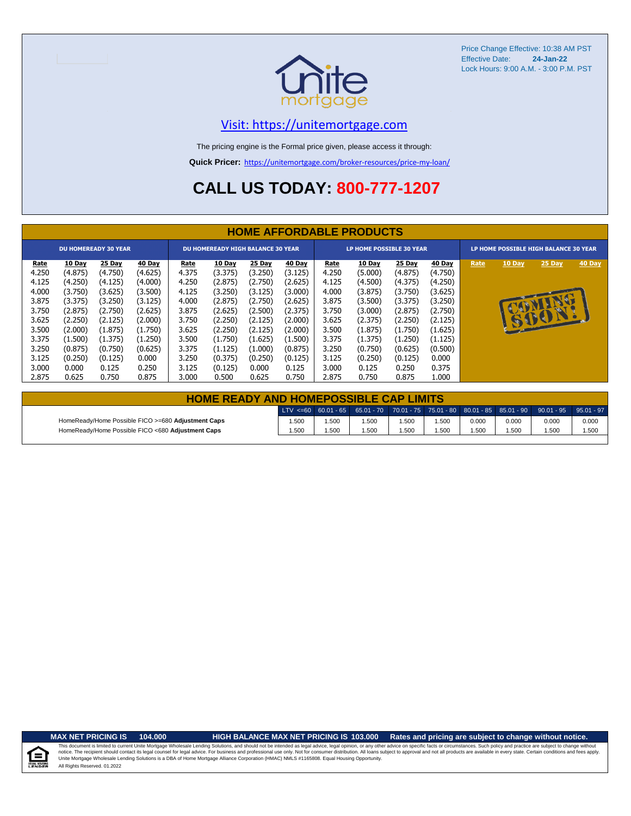

#### [V](https://unitemortgage.com/)isit: https://unitemortgage.com

The pricing engine is the Formal price given, please access it through:

**Quick Pricer:** [https://un](https://unitemortgage.com/broker-resources/price-my-loan/)itemortgage.com/broker-resources/price-my-loan/

### **CALL US TODAY: 800-777-1207**

|                                                                                       | <b>HOME AFFORDABLE PRODUCTS</b>                                                                           |                                                                                                           |                                                                                                           |                                                                                       |                                                                                                           |                                                                                                           |                                                                                                                  |                                                                                       |                                                                                                           |                                                                                                           |                                                                                                           |                                       |               |                |        |
|---------------------------------------------------------------------------------------|-----------------------------------------------------------------------------------------------------------|-----------------------------------------------------------------------------------------------------------|-----------------------------------------------------------------------------------------------------------|---------------------------------------------------------------------------------------|-----------------------------------------------------------------------------------------------------------|-----------------------------------------------------------------------------------------------------------|------------------------------------------------------------------------------------------------------------------|---------------------------------------------------------------------------------------|-----------------------------------------------------------------------------------------------------------|-----------------------------------------------------------------------------------------------------------|-----------------------------------------------------------------------------------------------------------|---------------------------------------|---------------|----------------|--------|
|                                                                                       |                                                                                                           | <b>DU HOMEREADY 30 YEAR</b>                                                                               |                                                                                                           | <b>DU HOMEREADY HIGH BALANCE 30 YEAR</b>                                              |                                                                                                           |                                                                                                           |                                                                                                                  |                                                                                       | LP HOME POSSIBLE 30 YEAR                                                                                  |                                                                                                           |                                                                                                           | LP HOME POSSIBLE HIGH BALANCE 30 YEAR |               |                |        |
| Rate<br>4.250<br>4.125<br>4.000<br>3.875<br>3.750<br>3.625<br>3.500<br>3.375<br>3.250 | 10 Day<br>(4.875)<br>(4.250)<br>(3.750)<br>(3.375)<br>(2.875)<br>(2.250)<br>(2.000)<br>(1.500)<br>(0.875) | 25 Day<br>(4.750)<br>(4.125)<br>(3.625)<br>(3.250)<br>(2.750)<br>(2.125)<br>(1.875)<br>(1.375)<br>(0.750) | 40 Day<br>(4.625)<br>(4.000)<br>(3.500)<br>(3.125)<br>(2.625)<br>(2.000)<br>(1.750)<br>(1.250)<br>(0.625) | Rate<br>4.375<br>4.250<br>4.125<br>4.000<br>3.875<br>3.750<br>3.625<br>3.500<br>3.375 | 10 Day<br>(3.375)<br>(2.875)<br>(3.250)<br>(2.875)<br>(2.625)<br>(2.250)<br>(2.250)<br>(1.750)<br>(1.125) | 25 Day<br>(3.250)<br>(2.750)<br>(3.125)<br>(2.750)<br>(2.500)<br>(2.125)<br>(2.125)<br>(1.625)<br>(1.000) | 40 <u>Day</u><br>(3.125)<br>(2.625)<br>(3.000)<br>(2.625)<br>(2.375)<br>(2.000)<br>(2.000)<br>(1.500)<br>(0.875) | Rate<br>4.250<br>4.125<br>4.000<br>3.875<br>3.750<br>3.625<br>3.500<br>3.375<br>3.250 | 10 Day<br>(5.000)<br>(4.500)<br>(3.875)<br>(3.500)<br>(3.000)<br>(2.375)<br>(1.875)<br>(1.375)<br>(0.750) | 25 Day<br>(4.875)<br>(4.375)<br>(3.750)<br>(3.375)<br>(2.875)<br>(2.250)<br>(1.750)<br>(1.250)<br>(0.625) | 40 Day<br>(4.750)<br>(4.250)<br>(3.625)<br>(3.250)<br>(2.750)<br>(2.125)<br>(1.625)<br>(1.125)<br>(0.500) | Rate                                  | <b>10 Day</b> | 25 Day<br>6001 | 40 Day |
| 3.125<br>3.000<br>2.875                                                               | (0.250)<br>0.000<br>0.625                                                                                 | (0.125)<br>0.125<br>0.750                                                                                 | 0.000<br>0.250<br>0.875                                                                                   | 3.250<br>3.125<br>3.000                                                               | (0.375)<br>(0.125)<br>0.500                                                                               | (0.250)<br>0.000<br>0.625                                                                                 | (0.125)<br>0.125<br>0.750                                                                                        | 3.125<br>3.000<br>2.875                                                               | (0.250)<br>0.125<br>0.750                                                                                 | (0.125)<br>0.250<br>0.875                                                                                 | 0.000<br>0.375<br>L.000                                                                                   |                                       |               |                |        |

| <b>HOME READY AND HOMEPOSSIBLE CAP LIMITS</b>      |       |      |      |       |      |       |       |                                                                                                  |       |  |  |  |
|----------------------------------------------------|-------|------|------|-------|------|-------|-------|--------------------------------------------------------------------------------------------------|-------|--|--|--|
|                                                    |       |      |      |       |      |       |       | LTV <=60 60.01 - 65 65.01 - 70 70.01 - 75 75.01 - 80 80.01 - 85 85.01 - 90 90.01 - 95 95.01 - 97 |       |  |  |  |
| HomeReady/Home Possible FICO >=680 Adjustment Caps | 1.500 | .500 | .500 | 500،، | .500 | 0.000 | 0.000 | 0.000                                                                                            | 0.000 |  |  |  |
| HomeReady/Home Possible FICO <680 Adjustment Caps  | 1.500 | .500 | .500 | .500  | .500 | .500  | 1.500 | .500                                                                                             | 1.500 |  |  |  |

u Hou

#### **MAX NET PRICING IS 104.000 HIGH BALANCE MAX NET PRICING IS 103.000 Rates and pricing are subject to change without notice.**

All Rights Reserved. 01.2022 This document is limited to current Unite Mortgage Wholesale Lending Solutions, and should not be intended as legal advice, legal opinion, or any other advice on specific facts or circumstances. Such policy and practice ar notice. The recipient should contact its legal coursel for legal advice. For business and professional use only. Not for consumer distribution. All oans subject to approval and not all products are available in every state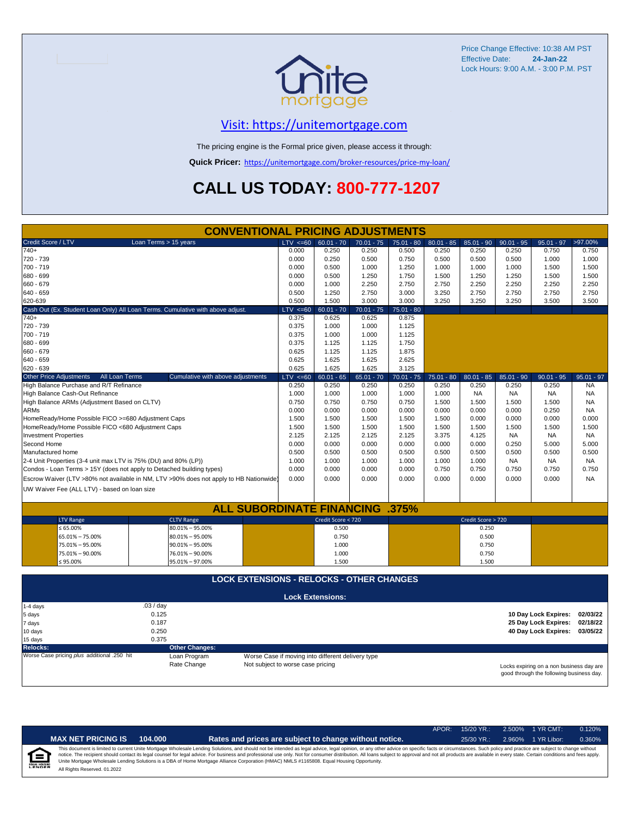

#### [V](https://unitemortgage.com/)isit: https://unitemortgage.com

The pricing engine is the Formal price given, please access it through:

**Quick Pricer:** [https://un](https://unitemortgage.com/broker-resources/price-my-loan/)itemortgage.com/broker-resources/price-my-loan/

### **CALL US TODAY: 800-777-1207**

| Credit Score / LTV<br>Loan Terms > 15 years<br>LTV < 60<br>>97.00%<br>$60.01 - 70$<br>$70.01 - 75$<br>$80.01 - 85$<br>$85.01 - 90$<br>$90.01 - 95$<br>$95.01 - 97$<br>$75.01 - 80$<br>740+<br>0.250<br>0.000<br>0.250<br>0.500<br>0.250<br>0.250<br>0.250<br>0.750<br>0.750<br>720 - 739<br>0.000<br>0.250<br>0.500<br>0.750<br>0.500<br>0.500<br>0.500<br>1.000<br>1.000<br>700 - 719<br>0.000<br>0.500<br>1.000<br>1.250<br>1.000<br>1.000<br>1.000<br>1.500<br>1.500<br>680 - 699<br>0.000<br>1.750<br>0.500<br>1.250<br>1.500<br>1.250<br>1.250<br>1.500<br>1.500<br>660 - 679<br>2.250<br>2.750<br>2.750<br>2.250<br>2.250<br>2.250<br>2.250<br>0.000<br>1.000<br>640 - 659<br>0.500<br>1.250<br>2.750<br>3.000<br>3.250<br>2.750<br>2.750<br>2.750<br>2.750<br>620-639<br>0.500<br>1.500<br>3.000<br>3.000<br>3.250<br>3.250<br>3.250<br>3.500<br>3.500<br>Cash Out (Ex. Student Loan Only) All Loan Terms. Cumulative with above adjust.<br>$LTV < =60$<br>$60.01 - 70$<br>$70.01 - 75$<br>$75.01 - 80$<br>0.375<br>0.625<br>0.875<br>$740+$<br>0.625<br>720 - 739<br>0.375<br>1.000<br>1.000<br>1.125<br>700 - 719<br>0.375<br>1.000<br>1.000<br>1.125<br>0.375<br>1.750<br>680 - 699<br>1.125<br>1.125<br>660 - 679<br>1.875<br>0.625<br>1.125<br>1.125<br>0.625<br>2.625<br>640 - 659<br>1.625<br>1.625<br>620 - 639<br>0.625<br>1.625<br>1.625<br>3.125<br>LTV < 60<br><b>Other Price Adjustments</b><br>All Loan Terms<br>Cumulative with above adjustments<br>$60.01 - 65$<br>$65.01 - 70$<br>$70.01 - 75$<br>$75.01 - 80$<br>$80.01 - 85$<br>$85.01 - 90$<br>$90.01 - 95$<br>$95.01 - 97$<br>High Balance Purchase and R/T Refinance<br>0.250<br>0.250<br>0.250<br>0.250<br>0.250<br>0.250<br>0.250<br><b>NA</b><br>0.250<br>High Balance Cash-Out Refinance<br>1.000<br>1.000<br>1.000<br>1.000<br>1.000<br><b>NA</b><br><b>NA</b><br><b>NA</b><br><b>NA</b><br>0.750<br>0.750<br>0.750<br><b>NA</b><br>High Balance ARMs (Adjustment Based on CLTV)<br>0.750<br>1.500<br>1.500<br>1.500<br>1.500<br><b>ARMs</b><br>0.000<br>0.000<br>0.000<br>0.000<br>0.000<br>0.000<br>0.000<br>0.250<br><b>NA</b><br>HomeReady/Home Possible FICO >=680 Adjustment Caps<br>1.500<br>1.500<br>1.500<br>1.500<br>1.500<br>0.000<br>0.000<br>0.000<br>0.000<br>HomeReady/Home Possible FICO <680 Adjustment Caps<br>1.500<br>1.500<br>1.500<br>1.500<br>1.500<br>1.500<br>1.500<br>1.500<br>1.500<br>2.125<br><b>Investment Properties</b><br>2.125<br>2.125<br>2.125<br>3.375<br>4.125<br><b>NA</b><br><b>NA</b><br><b>NA</b><br>Second Home<br>0.000<br>0.000<br>0.000<br>0.000<br>0.000<br>0.000<br>0.250<br>5.000<br>5.000<br>0.500<br>Manufactured home<br>0.500<br>0.500<br>0.500<br>0.500<br>0.500<br>0.500<br>0.500<br>0.500<br>2-4 Unit Properties (3-4 unit max LTV is 75% (DU) and 80% (LP))<br>1.000<br>1.000<br>1.000<br>1.000<br>1.000<br>1.000<br><b>NA</b><br><b>NA</b><br><b>NA</b><br>Condos - Loan Terms > 15Y (does not apply to Detached building types)<br>0.000<br>0.000<br>0.750<br>0.750<br>0.750<br>0.000<br>0.000<br>0.750<br>0.750<br>0.000<br>Escrow Waiver (LTV >80% not available in NM, LTV >90% does not apply to HB Nationwide)<br>0.000<br>0.000<br>0.000<br>0.000<br>0.000<br>0.000<br>0.000<br><b>NA</b><br>UW Waiver Fee (ALL LTV) - based on loan size<br><b>ALL SUBORDINATE FINANCING .375%</b> |
|-----------------------------------------------------------------------------------------------------------------------------------------------------------------------------------------------------------------------------------------------------------------------------------------------------------------------------------------------------------------------------------------------------------------------------------------------------------------------------------------------------------------------------------------------------------------------------------------------------------------------------------------------------------------------------------------------------------------------------------------------------------------------------------------------------------------------------------------------------------------------------------------------------------------------------------------------------------------------------------------------------------------------------------------------------------------------------------------------------------------------------------------------------------------------------------------------------------------------------------------------------------------------------------------------------------------------------------------------------------------------------------------------------------------------------------------------------------------------------------------------------------------------------------------------------------------------------------------------------------------------------------------------------------------------------------------------------------------------------------------------------------------------------------------------------------------------------------------------------------------------------------------------------------------------------------------------------------------------------------------------------------------------------------------------------------------------------------------------------------------------------------------------------------------------------------------------------------------------------------------------------------------------------------------------------------------------------------------------------------------------------------------------------------------------------------------------------------------------------------------------------------------------------------------------------------------------------------------------------------------------------------------------------------------------------------------------------------------------------------------------------------------------------------------------------------------------------------------------------------------------------------------------------------------------------------------------------------------------------------------------------------------------------------------------------------------------------------------------------------------------------------------------------------------------------------------------------------------------------------------------------------------------------------------------------------------------------------------|
|                                                                                                                                                                                                                                                                                                                                                                                                                                                                                                                                                                                                                                                                                                                                                                                                                                                                                                                                                                                                                                                                                                                                                                                                                                                                                                                                                                                                                                                                                                                                                                                                                                                                                                                                                                                                                                                                                                                                                                                                                                                                                                                                                                                                                                                                                                                                                                                                                                                                                                                                                                                                                                                                                                                                                                                                                                                                                                                                                                                                                                                                                                                                                                                                                                                                                                                                         |
|                                                                                                                                                                                                                                                                                                                                                                                                                                                                                                                                                                                                                                                                                                                                                                                                                                                                                                                                                                                                                                                                                                                                                                                                                                                                                                                                                                                                                                                                                                                                                                                                                                                                                                                                                                                                                                                                                                                                                                                                                                                                                                                                                                                                                                                                                                                                                                                                                                                                                                                                                                                                                                                                                                                                                                                                                                                                                                                                                                                                                                                                                                                                                                                                                                                                                                                                         |
|                                                                                                                                                                                                                                                                                                                                                                                                                                                                                                                                                                                                                                                                                                                                                                                                                                                                                                                                                                                                                                                                                                                                                                                                                                                                                                                                                                                                                                                                                                                                                                                                                                                                                                                                                                                                                                                                                                                                                                                                                                                                                                                                                                                                                                                                                                                                                                                                                                                                                                                                                                                                                                                                                                                                                                                                                                                                                                                                                                                                                                                                                                                                                                                                                                                                                                                                         |
|                                                                                                                                                                                                                                                                                                                                                                                                                                                                                                                                                                                                                                                                                                                                                                                                                                                                                                                                                                                                                                                                                                                                                                                                                                                                                                                                                                                                                                                                                                                                                                                                                                                                                                                                                                                                                                                                                                                                                                                                                                                                                                                                                                                                                                                                                                                                                                                                                                                                                                                                                                                                                                                                                                                                                                                                                                                                                                                                                                                                                                                                                                                                                                                                                                                                                                                                         |
|                                                                                                                                                                                                                                                                                                                                                                                                                                                                                                                                                                                                                                                                                                                                                                                                                                                                                                                                                                                                                                                                                                                                                                                                                                                                                                                                                                                                                                                                                                                                                                                                                                                                                                                                                                                                                                                                                                                                                                                                                                                                                                                                                                                                                                                                                                                                                                                                                                                                                                                                                                                                                                                                                                                                                                                                                                                                                                                                                                                                                                                                                                                                                                                                                                                                                                                                         |
|                                                                                                                                                                                                                                                                                                                                                                                                                                                                                                                                                                                                                                                                                                                                                                                                                                                                                                                                                                                                                                                                                                                                                                                                                                                                                                                                                                                                                                                                                                                                                                                                                                                                                                                                                                                                                                                                                                                                                                                                                                                                                                                                                                                                                                                                                                                                                                                                                                                                                                                                                                                                                                                                                                                                                                                                                                                                                                                                                                                                                                                                                                                                                                                                                                                                                                                                         |
|                                                                                                                                                                                                                                                                                                                                                                                                                                                                                                                                                                                                                                                                                                                                                                                                                                                                                                                                                                                                                                                                                                                                                                                                                                                                                                                                                                                                                                                                                                                                                                                                                                                                                                                                                                                                                                                                                                                                                                                                                                                                                                                                                                                                                                                                                                                                                                                                                                                                                                                                                                                                                                                                                                                                                                                                                                                                                                                                                                                                                                                                                                                                                                                                                                                                                                                                         |
|                                                                                                                                                                                                                                                                                                                                                                                                                                                                                                                                                                                                                                                                                                                                                                                                                                                                                                                                                                                                                                                                                                                                                                                                                                                                                                                                                                                                                                                                                                                                                                                                                                                                                                                                                                                                                                                                                                                                                                                                                                                                                                                                                                                                                                                                                                                                                                                                                                                                                                                                                                                                                                                                                                                                                                                                                                                                                                                                                                                                                                                                                                                                                                                                                                                                                                                                         |
|                                                                                                                                                                                                                                                                                                                                                                                                                                                                                                                                                                                                                                                                                                                                                                                                                                                                                                                                                                                                                                                                                                                                                                                                                                                                                                                                                                                                                                                                                                                                                                                                                                                                                                                                                                                                                                                                                                                                                                                                                                                                                                                                                                                                                                                                                                                                                                                                                                                                                                                                                                                                                                                                                                                                                                                                                                                                                                                                                                                                                                                                                                                                                                                                                                                                                                                                         |
|                                                                                                                                                                                                                                                                                                                                                                                                                                                                                                                                                                                                                                                                                                                                                                                                                                                                                                                                                                                                                                                                                                                                                                                                                                                                                                                                                                                                                                                                                                                                                                                                                                                                                                                                                                                                                                                                                                                                                                                                                                                                                                                                                                                                                                                                                                                                                                                                                                                                                                                                                                                                                                                                                                                                                                                                                                                                                                                                                                                                                                                                                                                                                                                                                                                                                                                                         |
|                                                                                                                                                                                                                                                                                                                                                                                                                                                                                                                                                                                                                                                                                                                                                                                                                                                                                                                                                                                                                                                                                                                                                                                                                                                                                                                                                                                                                                                                                                                                                                                                                                                                                                                                                                                                                                                                                                                                                                                                                                                                                                                                                                                                                                                                                                                                                                                                                                                                                                                                                                                                                                                                                                                                                                                                                                                                                                                                                                                                                                                                                                                                                                                                                                                                                                                                         |
|                                                                                                                                                                                                                                                                                                                                                                                                                                                                                                                                                                                                                                                                                                                                                                                                                                                                                                                                                                                                                                                                                                                                                                                                                                                                                                                                                                                                                                                                                                                                                                                                                                                                                                                                                                                                                                                                                                                                                                                                                                                                                                                                                                                                                                                                                                                                                                                                                                                                                                                                                                                                                                                                                                                                                                                                                                                                                                                                                                                                                                                                                                                                                                                                                                                                                                                                         |
|                                                                                                                                                                                                                                                                                                                                                                                                                                                                                                                                                                                                                                                                                                                                                                                                                                                                                                                                                                                                                                                                                                                                                                                                                                                                                                                                                                                                                                                                                                                                                                                                                                                                                                                                                                                                                                                                                                                                                                                                                                                                                                                                                                                                                                                                                                                                                                                                                                                                                                                                                                                                                                                                                                                                                                                                                                                                                                                                                                                                                                                                                                                                                                                                                                                                                                                                         |
|                                                                                                                                                                                                                                                                                                                                                                                                                                                                                                                                                                                                                                                                                                                                                                                                                                                                                                                                                                                                                                                                                                                                                                                                                                                                                                                                                                                                                                                                                                                                                                                                                                                                                                                                                                                                                                                                                                                                                                                                                                                                                                                                                                                                                                                                                                                                                                                                                                                                                                                                                                                                                                                                                                                                                                                                                                                                                                                                                                                                                                                                                                                                                                                                                                                                                                                                         |
|                                                                                                                                                                                                                                                                                                                                                                                                                                                                                                                                                                                                                                                                                                                                                                                                                                                                                                                                                                                                                                                                                                                                                                                                                                                                                                                                                                                                                                                                                                                                                                                                                                                                                                                                                                                                                                                                                                                                                                                                                                                                                                                                                                                                                                                                                                                                                                                                                                                                                                                                                                                                                                                                                                                                                                                                                                                                                                                                                                                                                                                                                                                                                                                                                                                                                                                                         |
|                                                                                                                                                                                                                                                                                                                                                                                                                                                                                                                                                                                                                                                                                                                                                                                                                                                                                                                                                                                                                                                                                                                                                                                                                                                                                                                                                                                                                                                                                                                                                                                                                                                                                                                                                                                                                                                                                                                                                                                                                                                                                                                                                                                                                                                                                                                                                                                                                                                                                                                                                                                                                                                                                                                                                                                                                                                                                                                                                                                                                                                                                                                                                                                                                                                                                                                                         |
|                                                                                                                                                                                                                                                                                                                                                                                                                                                                                                                                                                                                                                                                                                                                                                                                                                                                                                                                                                                                                                                                                                                                                                                                                                                                                                                                                                                                                                                                                                                                                                                                                                                                                                                                                                                                                                                                                                                                                                                                                                                                                                                                                                                                                                                                                                                                                                                                                                                                                                                                                                                                                                                                                                                                                                                                                                                                                                                                                                                                                                                                                                                                                                                                                                                                                                                                         |
|                                                                                                                                                                                                                                                                                                                                                                                                                                                                                                                                                                                                                                                                                                                                                                                                                                                                                                                                                                                                                                                                                                                                                                                                                                                                                                                                                                                                                                                                                                                                                                                                                                                                                                                                                                                                                                                                                                                                                                                                                                                                                                                                                                                                                                                                                                                                                                                                                                                                                                                                                                                                                                                                                                                                                                                                                                                                                                                                                                                                                                                                                                                                                                                                                                                                                                                                         |
|                                                                                                                                                                                                                                                                                                                                                                                                                                                                                                                                                                                                                                                                                                                                                                                                                                                                                                                                                                                                                                                                                                                                                                                                                                                                                                                                                                                                                                                                                                                                                                                                                                                                                                                                                                                                                                                                                                                                                                                                                                                                                                                                                                                                                                                                                                                                                                                                                                                                                                                                                                                                                                                                                                                                                                                                                                                                                                                                                                                                                                                                                                                                                                                                                                                                                                                                         |
|                                                                                                                                                                                                                                                                                                                                                                                                                                                                                                                                                                                                                                                                                                                                                                                                                                                                                                                                                                                                                                                                                                                                                                                                                                                                                                                                                                                                                                                                                                                                                                                                                                                                                                                                                                                                                                                                                                                                                                                                                                                                                                                                                                                                                                                                                                                                                                                                                                                                                                                                                                                                                                                                                                                                                                                                                                                                                                                                                                                                                                                                                                                                                                                                                                                                                                                                         |
|                                                                                                                                                                                                                                                                                                                                                                                                                                                                                                                                                                                                                                                                                                                                                                                                                                                                                                                                                                                                                                                                                                                                                                                                                                                                                                                                                                                                                                                                                                                                                                                                                                                                                                                                                                                                                                                                                                                                                                                                                                                                                                                                                                                                                                                                                                                                                                                                                                                                                                                                                                                                                                                                                                                                                                                                                                                                                                                                                                                                                                                                                                                                                                                                                                                                                                                                         |
|                                                                                                                                                                                                                                                                                                                                                                                                                                                                                                                                                                                                                                                                                                                                                                                                                                                                                                                                                                                                                                                                                                                                                                                                                                                                                                                                                                                                                                                                                                                                                                                                                                                                                                                                                                                                                                                                                                                                                                                                                                                                                                                                                                                                                                                                                                                                                                                                                                                                                                                                                                                                                                                                                                                                                                                                                                                                                                                                                                                                                                                                                                                                                                                                                                                                                                                                         |
|                                                                                                                                                                                                                                                                                                                                                                                                                                                                                                                                                                                                                                                                                                                                                                                                                                                                                                                                                                                                                                                                                                                                                                                                                                                                                                                                                                                                                                                                                                                                                                                                                                                                                                                                                                                                                                                                                                                                                                                                                                                                                                                                                                                                                                                                                                                                                                                                                                                                                                                                                                                                                                                                                                                                                                                                                                                                                                                                                                                                                                                                                                                                                                                                                                                                                                                                         |
|                                                                                                                                                                                                                                                                                                                                                                                                                                                                                                                                                                                                                                                                                                                                                                                                                                                                                                                                                                                                                                                                                                                                                                                                                                                                                                                                                                                                                                                                                                                                                                                                                                                                                                                                                                                                                                                                                                                                                                                                                                                                                                                                                                                                                                                                                                                                                                                                                                                                                                                                                                                                                                                                                                                                                                                                                                                                                                                                                                                                                                                                                                                                                                                                                                                                                                                                         |
|                                                                                                                                                                                                                                                                                                                                                                                                                                                                                                                                                                                                                                                                                                                                                                                                                                                                                                                                                                                                                                                                                                                                                                                                                                                                                                                                                                                                                                                                                                                                                                                                                                                                                                                                                                                                                                                                                                                                                                                                                                                                                                                                                                                                                                                                                                                                                                                                                                                                                                                                                                                                                                                                                                                                                                                                                                                                                                                                                                                                                                                                                                                                                                                                                                                                                                                                         |
|                                                                                                                                                                                                                                                                                                                                                                                                                                                                                                                                                                                                                                                                                                                                                                                                                                                                                                                                                                                                                                                                                                                                                                                                                                                                                                                                                                                                                                                                                                                                                                                                                                                                                                                                                                                                                                                                                                                                                                                                                                                                                                                                                                                                                                                                                                                                                                                                                                                                                                                                                                                                                                                                                                                                                                                                                                                                                                                                                                                                                                                                                                                                                                                                                                                                                                                                         |
|                                                                                                                                                                                                                                                                                                                                                                                                                                                                                                                                                                                                                                                                                                                                                                                                                                                                                                                                                                                                                                                                                                                                                                                                                                                                                                                                                                                                                                                                                                                                                                                                                                                                                                                                                                                                                                                                                                                                                                                                                                                                                                                                                                                                                                                                                                                                                                                                                                                                                                                                                                                                                                                                                                                                                                                                                                                                                                                                                                                                                                                                                                                                                                                                                                                                                                                                         |
|                                                                                                                                                                                                                                                                                                                                                                                                                                                                                                                                                                                                                                                                                                                                                                                                                                                                                                                                                                                                                                                                                                                                                                                                                                                                                                                                                                                                                                                                                                                                                                                                                                                                                                                                                                                                                                                                                                                                                                                                                                                                                                                                                                                                                                                                                                                                                                                                                                                                                                                                                                                                                                                                                                                                                                                                                                                                                                                                                                                                                                                                                                                                                                                                                                                                                                                                         |
|                                                                                                                                                                                                                                                                                                                                                                                                                                                                                                                                                                                                                                                                                                                                                                                                                                                                                                                                                                                                                                                                                                                                                                                                                                                                                                                                                                                                                                                                                                                                                                                                                                                                                                                                                                                                                                                                                                                                                                                                                                                                                                                                                                                                                                                                                                                                                                                                                                                                                                                                                                                                                                                                                                                                                                                                                                                                                                                                                                                                                                                                                                                                                                                                                                                                                                                                         |
|                                                                                                                                                                                                                                                                                                                                                                                                                                                                                                                                                                                                                                                                                                                                                                                                                                                                                                                                                                                                                                                                                                                                                                                                                                                                                                                                                                                                                                                                                                                                                                                                                                                                                                                                                                                                                                                                                                                                                                                                                                                                                                                                                                                                                                                                                                                                                                                                                                                                                                                                                                                                                                                                                                                                                                                                                                                                                                                                                                                                                                                                                                                                                                                                                                                                                                                                         |
|                                                                                                                                                                                                                                                                                                                                                                                                                                                                                                                                                                                                                                                                                                                                                                                                                                                                                                                                                                                                                                                                                                                                                                                                                                                                                                                                                                                                                                                                                                                                                                                                                                                                                                                                                                                                                                                                                                                                                                                                                                                                                                                                                                                                                                                                                                                                                                                                                                                                                                                                                                                                                                                                                                                                                                                                                                                                                                                                                                                                                                                                                                                                                                                                                                                                                                                                         |
|                                                                                                                                                                                                                                                                                                                                                                                                                                                                                                                                                                                                                                                                                                                                                                                                                                                                                                                                                                                                                                                                                                                                                                                                                                                                                                                                                                                                                                                                                                                                                                                                                                                                                                                                                                                                                                                                                                                                                                                                                                                                                                                                                                                                                                                                                                                                                                                                                                                                                                                                                                                                                                                                                                                                                                                                                                                                                                                                                                                                                                                                                                                                                                                                                                                                                                                                         |
| Credit Score < 720<br>Credit Score > 720<br><b>LTV Range</b><br><b>CLTV Range</b>                                                                                                                                                                                                                                                                                                                                                                                                                                                                                                                                                                                                                                                                                                                                                                                                                                                                                                                                                                                                                                                                                                                                                                                                                                                                                                                                                                                                                                                                                                                                                                                                                                                                                                                                                                                                                                                                                                                                                                                                                                                                                                                                                                                                                                                                                                                                                                                                                                                                                                                                                                                                                                                                                                                                                                                                                                                                                                                                                                                                                                                                                                                                                                                                                                                       |
| $\leq 65.00\%$<br>0.500<br>0.250<br>80.01% - 95.00%                                                                                                                                                                                                                                                                                                                                                                                                                                                                                                                                                                                                                                                                                                                                                                                                                                                                                                                                                                                                                                                                                                                                                                                                                                                                                                                                                                                                                                                                                                                                                                                                                                                                                                                                                                                                                                                                                                                                                                                                                                                                                                                                                                                                                                                                                                                                                                                                                                                                                                                                                                                                                                                                                                                                                                                                                                                                                                                                                                                                                                                                                                                                                                                                                                                                                     |
| 0.750<br>65.01% - 75.00%<br>$80.01\% - 95.00\%$<br>0.500                                                                                                                                                                                                                                                                                                                                                                                                                                                                                                                                                                                                                                                                                                                                                                                                                                                                                                                                                                                                                                                                                                                                                                                                                                                                                                                                                                                                                                                                                                                                                                                                                                                                                                                                                                                                                                                                                                                                                                                                                                                                                                                                                                                                                                                                                                                                                                                                                                                                                                                                                                                                                                                                                                                                                                                                                                                                                                                                                                                                                                                                                                                                                                                                                                                                                |
| 0.750<br>75.01% - 95.00%<br>$90.01\% - 95.00\%$<br>1.000                                                                                                                                                                                                                                                                                                                                                                                                                                                                                                                                                                                                                                                                                                                                                                                                                                                                                                                                                                                                                                                                                                                                                                                                                                                                                                                                                                                                                                                                                                                                                                                                                                                                                                                                                                                                                                                                                                                                                                                                                                                                                                                                                                                                                                                                                                                                                                                                                                                                                                                                                                                                                                                                                                                                                                                                                                                                                                                                                                                                                                                                                                                                                                                                                                                                                |
| 76.01% - 90.00%<br>0.750<br>75.01% - 90.00%<br>1.000                                                                                                                                                                                                                                                                                                                                                                                                                                                                                                                                                                                                                                                                                                                                                                                                                                                                                                                                                                                                                                                                                                                                                                                                                                                                                                                                                                                                                                                                                                                                                                                                                                                                                                                                                                                                                                                                                                                                                                                                                                                                                                                                                                                                                                                                                                                                                                                                                                                                                                                                                                                                                                                                                                                                                                                                                                                                                                                                                                                                                                                                                                                                                                                                                                                                                    |
| ≤ 95.00%<br>95.01% - 97.00%<br>1.500<br>1.500                                                                                                                                                                                                                                                                                                                                                                                                                                                                                                                                                                                                                                                                                                                                                                                                                                                                                                                                                                                                                                                                                                                                                                                                                                                                                                                                                                                                                                                                                                                                                                                                                                                                                                                                                                                                                                                                                                                                                                                                                                                                                                                                                                                                                                                                                                                                                                                                                                                                                                                                                                                                                                                                                                                                                                                                                                                                                                                                                                                                                                                                                                                                                                                                                                                                                           |
|                                                                                                                                                                                                                                                                                                                                                                                                                                                                                                                                                                                                                                                                                                                                                                                                                                                                                                                                                                                                                                                                                                                                                                                                                                                                                                                                                                                                                                                                                                                                                                                                                                                                                                                                                                                                                                                                                                                                                                                                                                                                                                                                                                                                                                                                                                                                                                                                                                                                                                                                                                                                                                                                                                                                                                                                                                                                                                                                                                                                                                                                                                                                                                                                                                                                                                                                         |
| <b>LOCK EXTENSIONS - RELOCKS - OTHER CHANGES</b>                                                                                                                                                                                                                                                                                                                                                                                                                                                                                                                                                                                                                                                                                                                                                                                                                                                                                                                                                                                                                                                                                                                                                                                                                                                                                                                                                                                                                                                                                                                                                                                                                                                                                                                                                                                                                                                                                                                                                                                                                                                                                                                                                                                                                                                                                                                                                                                                                                                                                                                                                                                                                                                                                                                                                                                                                                                                                                                                                                                                                                                                                                                                                                                                                                                                                        |
|                                                                                                                                                                                                                                                                                                                                                                                                                                                                                                                                                                                                                                                                                                                                                                                                                                                                                                                                                                                                                                                                                                                                                                                                                                                                                                                                                                                                                                                                                                                                                                                                                                                                                                                                                                                                                                                                                                                                                                                                                                                                                                                                                                                                                                                                                                                                                                                                                                                                                                                                                                                                                                                                                                                                                                                                                                                                                                                                                                                                                                                                                                                                                                                                                                                                                                                                         |
| <b>Lock Extensions:</b>                                                                                                                                                                                                                                                                                                                                                                                                                                                                                                                                                                                                                                                                                                                                                                                                                                                                                                                                                                                                                                                                                                                                                                                                                                                                                                                                                                                                                                                                                                                                                                                                                                                                                                                                                                                                                                                                                                                                                                                                                                                                                                                                                                                                                                                                                                                                                                                                                                                                                                                                                                                                                                                                                                                                                                                                                                                                                                                                                                                                                                                                                                                                                                                                                                                                                                                 |
|                                                                                                                                                                                                                                                                                                                                                                                                                                                                                                                                                                                                                                                                                                                                                                                                                                                                                                                                                                                                                                                                                                                                                                                                                                                                                                                                                                                                                                                                                                                                                                                                                                                                                                                                                                                                                                                                                                                                                                                                                                                                                                                                                                                                                                                                                                                                                                                                                                                                                                                                                                                                                                                                                                                                                                                                                                                                                                                                                                                                                                                                                                                                                                                                                                                                                                                                         |
| .03 / day<br>1-4 days<br>0.125<br>10 Day Lock Expires:<br>02/03/22                                                                                                                                                                                                                                                                                                                                                                                                                                                                                                                                                                                                                                                                                                                                                                                                                                                                                                                                                                                                                                                                                                                                                                                                                                                                                                                                                                                                                                                                                                                                                                                                                                                                                                                                                                                                                                                                                                                                                                                                                                                                                                                                                                                                                                                                                                                                                                                                                                                                                                                                                                                                                                                                                                                                                                                                                                                                                                                                                                                                                                                                                                                                                                                                                                                                      |
| 5 days<br>25 Day Lock Expires:<br>0.187<br>02/18/22                                                                                                                                                                                                                                                                                                                                                                                                                                                                                                                                                                                                                                                                                                                                                                                                                                                                                                                                                                                                                                                                                                                                                                                                                                                                                                                                                                                                                                                                                                                                                                                                                                                                                                                                                                                                                                                                                                                                                                                                                                                                                                                                                                                                                                                                                                                                                                                                                                                                                                                                                                                                                                                                                                                                                                                                                                                                                                                                                                                                                                                                                                                                                                                                                                                                                     |
| 7 days<br>0.250<br>40 Day Lock Expires: 03/05/22                                                                                                                                                                                                                                                                                                                                                                                                                                                                                                                                                                                                                                                                                                                                                                                                                                                                                                                                                                                                                                                                                                                                                                                                                                                                                                                                                                                                                                                                                                                                                                                                                                                                                                                                                                                                                                                                                                                                                                                                                                                                                                                                                                                                                                                                                                                                                                                                                                                                                                                                                                                                                                                                                                                                                                                                                                                                                                                                                                                                                                                                                                                                                                                                                                                                                        |
| 10 days<br>0.375                                                                                                                                                                                                                                                                                                                                                                                                                                                                                                                                                                                                                                                                                                                                                                                                                                                                                                                                                                                                                                                                                                                                                                                                                                                                                                                                                                                                                                                                                                                                                                                                                                                                                                                                                                                                                                                                                                                                                                                                                                                                                                                                                                                                                                                                                                                                                                                                                                                                                                                                                                                                                                                                                                                                                                                                                                                                                                                                                                                                                                                                                                                                                                                                                                                                                                                        |
| 15 days<br><b>Relocks:</b><br><b>Other Changes:</b>                                                                                                                                                                                                                                                                                                                                                                                                                                                                                                                                                                                                                                                                                                                                                                                                                                                                                                                                                                                                                                                                                                                                                                                                                                                                                                                                                                                                                                                                                                                                                                                                                                                                                                                                                                                                                                                                                                                                                                                                                                                                                                                                                                                                                                                                                                                                                                                                                                                                                                                                                                                                                                                                                                                                                                                                                                                                                                                                                                                                                                                                                                                                                                                                                                                                                     |
| Worse Case pricing plus additional .250 hit<br>Loan Program<br>Worse Case if moving into different delivery type                                                                                                                                                                                                                                                                                                                                                                                                                                                                                                                                                                                                                                                                                                                                                                                                                                                                                                                                                                                                                                                                                                                                                                                                                                                                                                                                                                                                                                                                                                                                                                                                                                                                                                                                                                                                                                                                                                                                                                                                                                                                                                                                                                                                                                                                                                                                                                                                                                                                                                                                                                                                                                                                                                                                                                                                                                                                                                                                                                                                                                                                                                                                                                                                                        |
| Rate Change<br>Not subject to worse case pricing<br>Locks expiring on a non business day are                                                                                                                                                                                                                                                                                                                                                                                                                                                                                                                                                                                                                                                                                                                                                                                                                                                                                                                                                                                                                                                                                                                                                                                                                                                                                                                                                                                                                                                                                                                                                                                                                                                                                                                                                                                                                                                                                                                                                                                                                                                                                                                                                                                                                                                                                                                                                                                                                                                                                                                                                                                                                                                                                                                                                                                                                                                                                                                                                                                                                                                                                                                                                                                                                                            |

Locks expiring on a non business day are good through the following business day.

|                           |                              |         |                                                                                                                                                                                                                                                                                                                                                                                                                                                                                                                                                                                                                | APOR: | $15/20$ YR.: | 2.500% 1 YR CMT:   | 0.120% |
|---------------------------|------------------------------|---------|----------------------------------------------------------------------------------------------------------------------------------------------------------------------------------------------------------------------------------------------------------------------------------------------------------------------------------------------------------------------------------------------------------------------------------------------------------------------------------------------------------------------------------------------------------------------------------------------------------------|-------|--------------|--------------------|--------|
|                           | <b>MAX NET PRICING IS</b>    | 104.000 | Rates and prices are subject to change without notice.                                                                                                                                                                                                                                                                                                                                                                                                                                                                                                                                                         |       | $25/30$ YR.: | 2.960% 1 YR Libor: | 0.360% |
| 仺<br><b>EQUAL HOUSING</b> | All Rights Reserved. 01.2022 |         | This document is limited to current Unite Mortgage Wholesale Lending Solutions, and should not be intended as legal advice, legal opinion, or any other advice on specific facts or circumstances. Such policy and practice ar<br>notice. The recipient should contact its legal counsel for legal advice. For business and professional use only. Not for consumer distribution. All loans subject to approval and not all products are available in every stat<br>Unite Mortgage Wholesale Lending Solutions is a DBA of Home Mortgage Alliance Corporation (HMAC) NMLS #1165808. Equal Housing Opportunity. |       |              |                    |        |